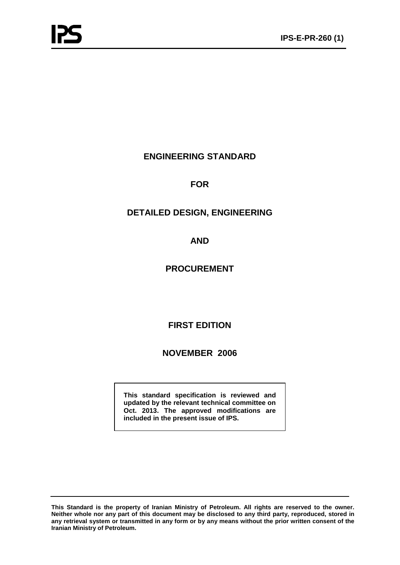# **ENGINEERING STANDARD**

# **FOR**

# **DETAILED DESIGN, ENGINEERING**

# **AND**

# **PROCUREMENT**

# **FIRST EDITION**

# **NOVEMBER 2006**

**This standard specification is reviewed and updated by the relevant technical committee on Oct. 2013. The approved modifications are included in the present issue of IPS.**

**This Standard is the property of Iranian Ministry of Petroleum. All rights are reserved to the owner. Neither whole nor any part of this document may be disclosed to any third party, reproduced, stored in any retrieval system or transmitted in any form or by any means without the prior written consent of the Iranian Ministry of Petroleum.**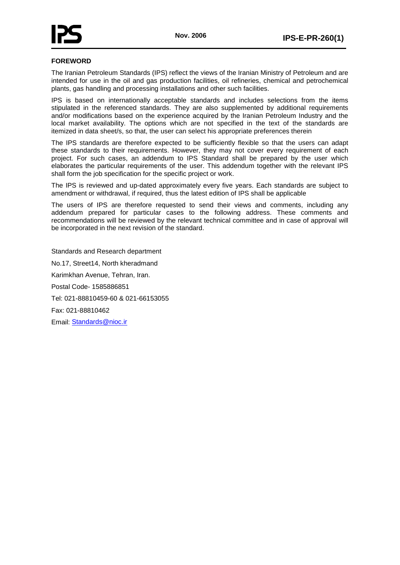

# **FOREWORD**

The Iranian Petroleum Standards (IPS) reflect the views of the Iranian Ministry of Petroleum and are intended for use in the oil and gas production facilities, oil refineries, chemical and petrochemical plants, gas handling and processing installations and other such facilities.

IPS is based on internationally acceptable standards and includes selections from the items stipulated in the referenced standards. They are also supplemented by additional requirements and/or modifications based on the experience acquired by the Iranian Petroleum Industry and the local market availability. The options which are not specified in the text of the standards are itemized in data sheet/s, so that, the user can select his appropriate preferences therein

The IPS standards are therefore expected to be sufficiently flexible so that the users can adapt these standards to their requirements. However, they may not cover every requirement of each project. For such cases, an addendum to IPS Standard shall be prepared by the user which elaborates the particular requirements of the user. This addendum together with the relevant IPS shall form the job specification for the specific project or work.

The IPS is reviewed and up-dated approximately every five years. Each standards are subject to amendment or withdrawal, if required, thus the latest edition of IPS shall be applicable

The users of IPS are therefore requested to send their views and comments, including any addendum prepared for particular cases to the following address. These comments and recommendations will be reviewed by the relevant technical committee and in case of approval will be incorporated in the next revision of the standard.

Standards and Research department No.17, Street14, North kheradmand Karimkhan Avenue, Tehran, Iran. Postal Code- 1585886851 Tel: 021-88810459-60 & 021-66153055 Fax: 021-88810462 Email: [Standards@nioc.ir](mailto:Standards@nioc.ir)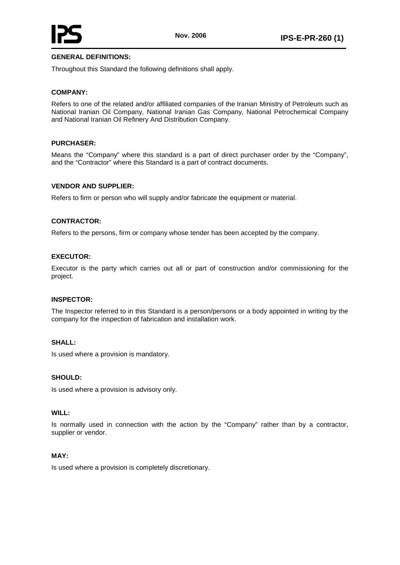

# **GENERAL DEFINITIONS:**

Throughout this Standard the following definitions shall apply.

## **COMPANY:**

Refers to one of the related and/or affiliated companies of the Iranian Ministry of Petroleum such as National Iranian Oil Company, National Iranian Gas Company, National Petrochemical Company and National Iranian Oil Refinery And Distribution Company.

### **PURCHASER:**

Means the "Company" where this standard is a part of direct purchaser order by the "Company", and the "Contractor" where this Standard is a part of contract documents.

### **VENDOR AND SUPPLIER:**

Refers to firm or person who will supply and/or fabricate the equipment or material.

### **CONTRACTOR:**

Refers to the persons, firm or company whose tender has been accepted by the company.

#### **EXECUTOR:**

Executor is the party which carries out all or part of construction and/or commissioning for the project.

#### **INSPECTOR:**

The Inspector referred to in this Standard is a person/persons or a body appointed in writing by the company for the inspection of fabrication and installation work.

## **SHALL:**

Is used where a provision is mandatory.

#### **SHOULD:**

Is used where a provision is advisory only.

#### **WILL:**

Is normally used in connection with the action by the "Company" rather than by a contractor, supplier or vendor.

#### **MAY:**

Is used where a provision is completely discretionary.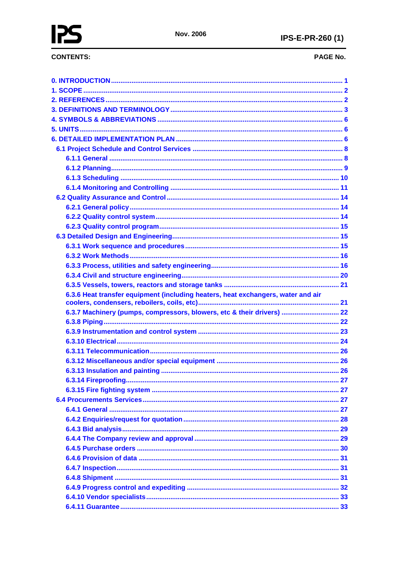# **CONTENTS:**

# PAGE No.

| 6.3.6 Heat transfer equipment (including heaters, heat exchangers, water and air |  |
|----------------------------------------------------------------------------------|--|
|                                                                                  |  |
|                                                                                  |  |
| 6.3.7 Machinery (pumps, compressors, blowers, etc & their drivers)  22           |  |
|                                                                                  |  |
|                                                                                  |  |
|                                                                                  |  |
|                                                                                  |  |
|                                                                                  |  |
|                                                                                  |  |
|                                                                                  |  |
|                                                                                  |  |
|                                                                                  |  |
|                                                                                  |  |
|                                                                                  |  |
|                                                                                  |  |
|                                                                                  |  |
|                                                                                  |  |
|                                                                                  |  |
|                                                                                  |  |
|                                                                                  |  |
|                                                                                  |  |
|                                                                                  |  |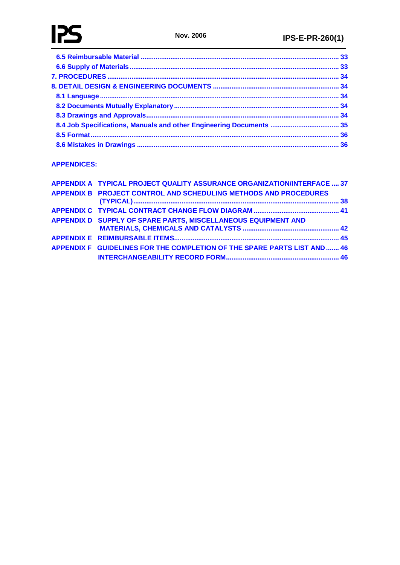# **[APPENDICES:](#page-41-0)**

| APPENDIX A TYPICAL PROJECT QUALITY ASSURANCE ORGANIZATION/INTERFACE  37  |  |
|--------------------------------------------------------------------------|--|
| APPENDIX B PROJECT CONTROL AND SCHEDULING METHODS AND PROCEDURES         |  |
|                                                                          |  |
| APPENDIX D SUPPLY OF SPARE PARTS, MISCELLANEOUS EQUIPMENT AND            |  |
|                                                                          |  |
| APPENDIX F GUIDELINES FOR THE COMPLETION OF THE SPARE PARTS LIST AND  46 |  |
|                                                                          |  |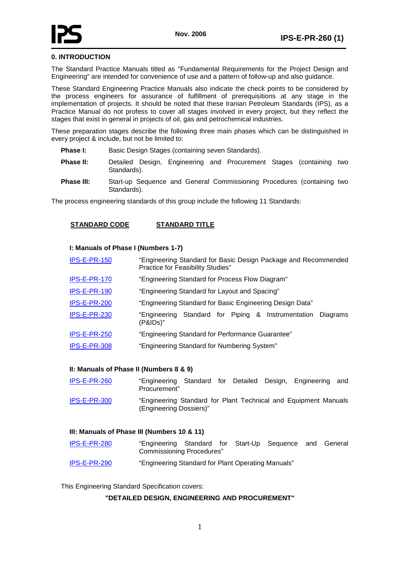

# <span id="page-5-0"></span>**0. INTRODUCTION**

The Standard Practice Manuals titled as "Fundamental Requirements for the Project Design and Engineering" are intended for convenience of use and a pattern of follow-up and also guidance.

These Standard Engineering Practice Manuals also indicate the check points to be considered by the process engineers for assurance of fulfillment of prerequisitions at any stage in the implementation of projects. It should be noted that these Iranian Petroleum Standards (IPS), as a Practice Manual do not profess to cover all stages involved in every project, but they reflect the stages that exist in general in projects of oil, gas and petrochemical industries.

These preparation stages describe the following three main phases which can be distinguished in every project & include, but not be limited to:

- **Phase I:** Basic Design Stages (containing seven Standards).
- **Phase II:** Detailed Design, Engineering and Procurement Stages (containing two Standards).
- **Phase III:** Start-up Sequence and General Commissioning Procedures (containing two Standards).

The process engineering standards of this group include the following 11 Standards:

### **STANDARD CODE STANDARD TITLE**

#### **I: Manuals of Phase I (Numbers 1-7)**

| <b>IPS-E-PR-150</b> | "Engineering Standard for Basic Design Package and Recommended<br>Practice for Feasibility Studies" |
|---------------------|-----------------------------------------------------------------------------------------------------|
| IPS-E-PR-170        | "Engineering Standard for Process Flow Diagram"                                                     |
| IPS-E-PR-190        | "Engineering Standard for Layout and Spacing"                                                       |
| IPS-E-PR-200        | "Engineering Standard for Basic Engineering Design Data"                                            |
| IPS-E-PR-230        | Standard for Piping & Instrumentation<br>"Engineering<br>Diagrams<br>(P&IDs)"                       |
| IPS-E-PR-250        | "Engineering Standard for Performance Guarantee"                                                    |
| IPS-E-PR-308        | "Engineering Standard for Numbering System"                                                         |
|                     |                                                                                                     |

#### **II: Manuals of Phase II (Numbers 8 & 9)**

| IPS-E-PR-260 | "Engineering Standard for Detailed Design, Engineering<br>Procurement"                     |  |  | and |
|--------------|--------------------------------------------------------------------------------------------|--|--|-----|
| IPS-E-PR-300 | "Engineering Standard for Plant Technical and Equipment Manuals<br>(Engineering Dossiers)" |  |  |     |

#### **III: Manuals of Phase III (Numbers 10 & 11)**

- IPS-E-PR-280 "Engineering Standard for Start-Up Sequence and General Commissioning Procedures"
- IPS-E-PR-290 "Engineering Standard for Plant Operating Manuals"

<span id="page-5-1"></span>This Engineering Standard Specification covers:

### **"DETAILED DESIGN, ENGINEERING AND PROCUREMENT"**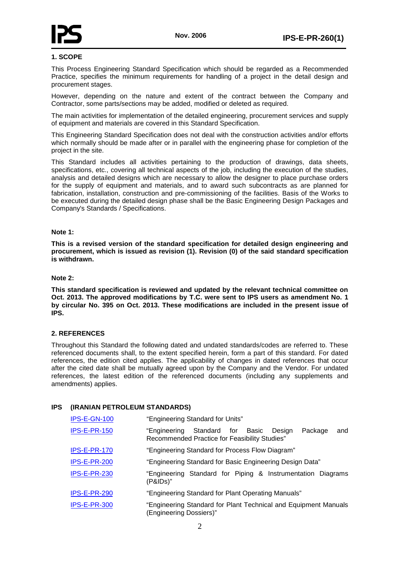

## **1. SCOPE**

This Process Engineering Standard Specification which should be regarded as a Recommended Practice, specifies the minimum requirements for handling of a project in the detail design and procurement stages.

However, depending on the nature and extent of the contract between the Company and Contractor, some parts/sections may be added, modified or deleted as required.

The main activities for implementation of the detailed engineering, procurement services and supply of equipment and materials are covered in this Standard Specification.

This Engineering Standard Specification does not deal with the construction activities and/or efforts which normally should be made after or in parallel with the engineering phase for completion of the project in the site.

This Standard includes all activities pertaining to the production of drawings, data sheets, specifications, etc., covering all technical aspects of the job, including the execution of the studies, analysis and detailed designs which are necessary to allow the designer to place purchase orders for the supply of equipment and materials, and to award such subcontracts as are planned for fabrication, installation, construction and pre-commissioning of the facilities. Basis of the Works to be executed during the detailed design phase shall be the Basic Engineering Design Packages and Company's Standards / Specifications.

#### **Note 1:**

**This is a revised version of the standard specification for detailed design engineering and procurement, which is issued as revision (1). Revision (0) of the said standard specification is withdrawn.**

### **Note 2:**

**This standard specification is reviewed and updated by the relevant technical committee on Oct. 2013. The approved modifications by T.C. were sent to IPS users as amendment No. 1 by circular No. 395 on Oct. 2013. These modifications are included in the present issue of IPS.**

# <span id="page-6-0"></span>**2. REFERENCES**

Throughout this Standard the following dated and undated standards/codes are referred to. These referenced documents shall, to the extent specified herein, form a part of this standard. For dated references, the edition cited applies. The applicability of changes in dated references that occur after the cited date shall be mutually agreed upon by the Company and the Vendor. For undated references, the latest edition of the referenced documents (including any supplements and amendments) applies.

#### **IPS (IRANIAN PETROLEUM STANDARDS)**

| IPS-E-GN-100        | "Engineering Standard for Units"                                                                                   |
|---------------------|--------------------------------------------------------------------------------------------------------------------|
| <b>IPS-E-PR-150</b> | Standard for<br>Basic<br>Package<br>"Engineering<br>Desian<br>and<br>Recommended Practice for Feasibility Studies" |
| IPS-E-PR-170        | "Engineering Standard for Process Flow Diagram"                                                                    |
| IPS-E-PR-200        | "Engineering Standard for Basic Engineering Design Data"                                                           |
| IPS-E-PR-230        | "Engineering Standard for Piping & Instrumentation Diagrams<br>(P&IDs)"                                            |
| IPS-E-PR-290        | "Engineering Standard for Plant Operating Manuals"                                                                 |
| IPS-E-PR-300        | "Engineering Standard for Plant Technical and Equipment Manuals<br>(Engineering Dossiers)"                         |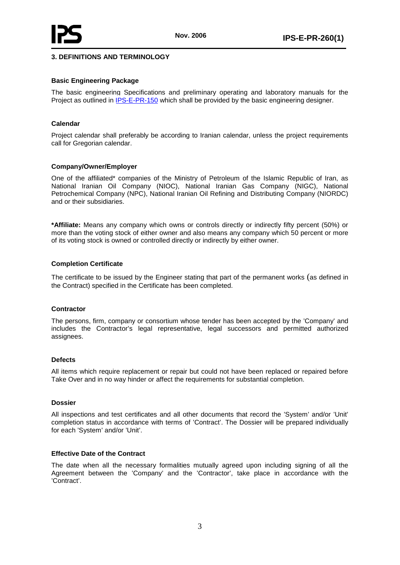# <span id="page-7-0"></span>**3. DEFINITIONS AND TERMINOLOGY**

#### **Basic Engineering Package**

The basic engineering Specifications and preliminary operating and laboratory manuals for the Project as outlined in IPS-E-PR-150 which shall be provided by the basic engineering designer.

#### **Calendar**

Project calendar shall preferably be according to Iranian calendar, unless the project requirements call for Gregorian calendar.

#### **Company/Owner/Employer**

One of the affiliated\* companies of the Ministry of Petroleum of the Islamic Republic of Iran, as National Iranian Oil Company (NIOC), National Iranian Gas Company (NIGC), National Petrochemical Company (NPC), National Iranian Oil Refining and Distributing Company (NIORDC) and or their subsidiaries.

**\*Affiliate:** Means any company which owns or controls directly or indirectly fifty percent (50%) or more than the voting stock of either owner and also means any company which 50 percent or more of its voting stock is owned or controlled directly or indirectly by either owner.

#### **Completion Certificate**

The certificate to be issued by the Engineer stating that part of the permanent works (as defined in the Contract) specified in the Certificate has been completed.

#### **Contractor**

The persons, firm, company or consortium whose tender has been accepted by the 'Company' and includes the Contractor's legal representative, legal successors and permitted authorized assignees.

#### **Defects**

All items which require replacement or repair but could not have been replaced or repaired before Take Over and in no way hinder or affect the requirements for substantial completion.

#### **Dossier**

All inspections and test certificates and all other documents that record the 'System' and/or 'Unit' completion status in accordance with terms of 'Contract'. The Dossier will be prepared individually for each 'System' and/or 'Unit'.

#### **Effective Date of the Contract**

The date when all the necessary formalities mutually agreed upon including signing of all the Agreement between the 'Company' and the 'Contractor', take place in accordance with the 'Contract'.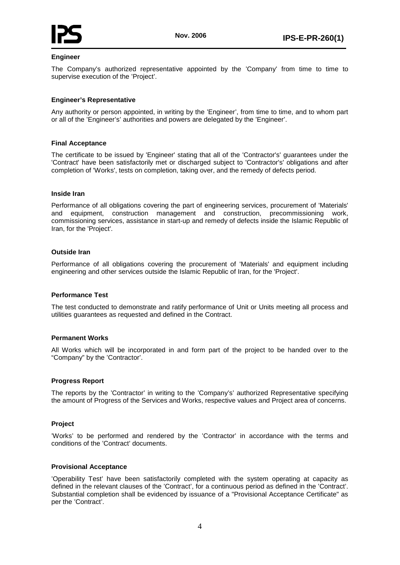

## **Engineer**

The Company's authorized representative appointed by the 'Company' from time to time to supervise execution of the 'Project'.

## **Engineer's Representative**

Any authority or person appointed, in writing by the 'Engineer', from time to time, and to whom part or all of the 'Engineer's' authorities and powers are delegated by the 'Engineer'.

#### **Final Acceptance**

The certificate to be issued by 'Engineer' stating that all of the 'Contractor's' guarantees under the 'Contract' have been satisfactorily met or discharged subject to 'Contractor's' obligations and after completion of 'Works', tests on completion, taking over, and the remedy of defects period.

#### **Inside Iran**

Performance of all obligations covering the part of engineering services, procurement of 'Materials' and equipment, construction management and construction, precommissioning work, commissioning services, assistance in start-up and remedy of defects inside the Islamic Republic of Iran, for the 'Project'.

### **Outside Iran**

Performance of all obligations covering the procurement of 'Materials' and equipment including engineering and other services outside the Islamic Republic of Iran, for the 'Project'.

#### **Performance Test**

The test conducted to demonstrate and ratify performance of Unit or Units meeting all process and utilities guarantees as requested and defined in the Contract.

#### **Permanent Works**

All Works which will be incorporated in and form part of the project to be handed over to the "Company" by the 'Contractor'.

#### **Progress Report**

The reports by the 'Contractor' in writing to the 'Company's' authorized Representative specifying the amount of Progress of the Services and Works, respective values and Project area of concerns.

#### **Project**

'Works' to be performed and rendered by the 'Contractor' in accordance with the terms and conditions of the 'Contract' documents.

#### **Provisional Acceptance**

'Operability Test' have been satisfactorily completed with the system operating at capacity as defined in the relevant clauses of the 'Contract', for a continuous period as defined in the 'Contract'. Substantial completion shall be evidenced by issuance of a "Provisional Acceptance Certificate" as per the 'Contract'.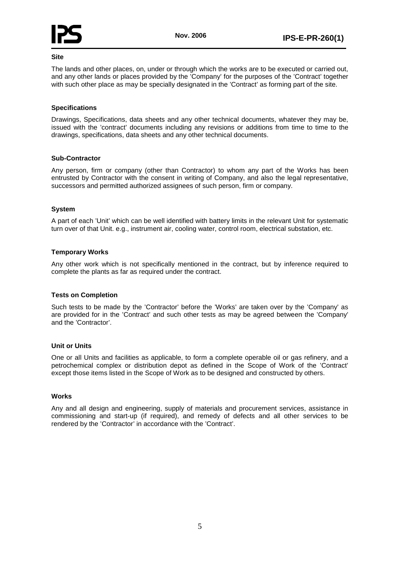

## **Site**

The lands and other places, on, under or through which the works are to be executed or carried out, and any other lands or places provided by the 'Company' for the purposes of the 'Contract' together with such other place as may be specially designated in the 'Contract' as forming part of the site.

### **Specifications**

Drawings, Specifications, data sheets and any other technical documents, whatever they may be, issued with the 'contract' documents including any revisions or additions from time to time to the drawings, specifications, data sheets and any other technical documents.

# **Sub-Contractor**

Any person, firm or company (other than Contractor) to whom any part of the Works has been entrusted by Contractor with the consent in writing of Company, and also the legal representative, successors and permitted authorized assignees of such person, firm or company.

### **System**

A part of each 'Unit' which can be well identified with battery limits in the relevant Unit for systematic turn over of that Unit. e.g., instrument air, cooling water, control room, electrical substation, etc.

### **Temporary Works**

Any other work which is not specifically mentioned in the contract, but by inference required to complete the plants as far as required under the contract.

#### **Tests on Completion**

Such tests to be made by the 'Contractor' before the 'Works' are taken over by the 'Company' as are provided for in the 'Contract' and such other tests as may be agreed between the 'Company' and the 'Contractor'.

#### **Unit or Units**

One or all Units and facilities as applicable, to form a complete operable oil or gas refinery, and a petrochemical complex or distribution depot as defined in the Scope of Work of the 'Contract' except those items listed in the Scope of Work as to be designed and constructed by others.

#### **Works**

<span id="page-9-0"></span>Any and all design and engineering, supply of materials and procurement services, assistance in commissioning and start-up (if required), and remedy of defects and all other services to be rendered by the 'Contractor' in accordance with the 'Contract'.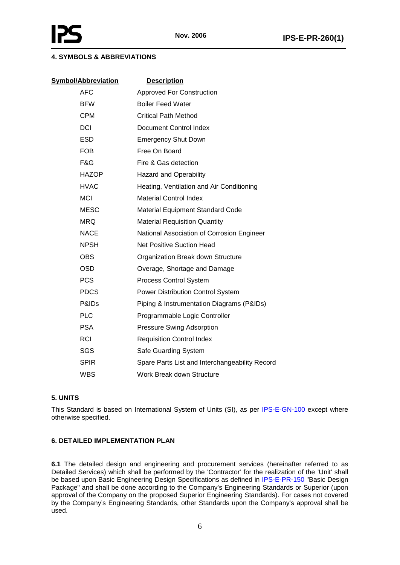# **4. SYMBOLS & ABBREVIATIONS**

| <b>Symbol/Abbreviation</b> | <b>Description</b>                             |
|----------------------------|------------------------------------------------|
| <b>AFC</b>                 | <b>Approved For Construction</b>               |
| <b>BFW</b>                 | <b>Boiler Feed Water</b>                       |
| <b>CPM</b>                 | Critical Path Method                           |
| <b>DCI</b>                 | Document Control Index                         |
| <b>ESD</b>                 | <b>Emergency Shut Down</b>                     |
| <b>FOB</b>                 | Free On Board                                  |
| F&G                        | Fire & Gas detection                           |
| <b>HAZOP</b>               | <b>Hazard and Operability</b>                  |
| <b>HVAC</b>                | Heating, Ventilation and Air Conditioning      |
| <b>MCI</b>                 | <b>Material Control Index</b>                  |
| <b>MESC</b>                | <b>Material Equipment Standard Code</b>        |
| <b>MRQ</b>                 | <b>Material Requisition Quantity</b>           |
| <b>NACE</b>                | National Association of Corrosion Engineer     |
| <b>NPSH</b>                | <b>Net Positive Suction Head</b>               |
| <b>OBS</b>                 | Organization Break down Structure              |
| <b>OSD</b>                 | Overage, Shortage and Damage                   |
| <b>PCS</b>                 | <b>Process Control System</b>                  |
| <b>PDCS</b>                | Power Distribution Control System              |
| P&ID <sub>s</sub>          | Piping & Instrumentation Diagrams (P&IDs)      |
| <b>PLC</b>                 | Programmable Logic Controller                  |
| <b>PSA</b>                 | Pressure Swing Adsorption                      |
| <b>RCI</b>                 | <b>Requisition Control Index</b>               |
| SGS                        | Safe Guarding System                           |
| <b>SPIR</b>                | Spare Parts List and Interchangeability Record |
| <b>WBS</b>                 | Work Break down Structure                      |

# <span id="page-10-0"></span>**5. UNITS**

This Standard is based on International System of Units (SI), as per **IPS-E-GN-100** except where otherwise specified.

# <span id="page-10-1"></span>**6. DETAILED IMPLEMENTATION PLAN**

**6.1** The detailed design and engineering and procurement services (hereinafter referred to as Detailed Services) which shall be performed by the 'Contractor' for the realization of the 'Unit' shall be based upon Basic Engineering Design Specifications as defined in *IPS-E-PR-150* "Basic Design Package" and shall be done according to the Company's Engineering Standards or Superior (upon approval of the Company on the proposed Superior Engineering Standards). For cases not covered by the Company's Engineering Standards, other Standards upon the Company's approval shall be used.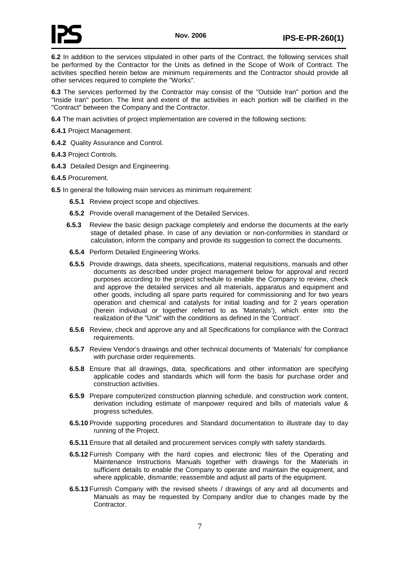

**6.2** In addition to the services stipulated in other parts of the Contract, the following services shall be performed by the Contractor for the Units as defined in the Scope of Work of Contract. The activities specified herein below are minimum requirements and the Contractor should provide all other services required to complete the "Works".

**6.3** The services performed by the Contractor may consist of the "Outside Iran" portion and the "Inside Iran" portion. The limit and extent of the activities in each portion will be clarified in the "Contract" between the Company and the Contractor.

**6.4** The main activities of project implementation are covered in the following sections:

**6.4.1** Project Management.

**6.4.2** Quality Assurance and Control.

**6.4.3** Project Controls.

**6.4.3** Detailed Design and Engineering.

**6.4.5** Procurement.

**6.5** In general the following main services as minimum requirement:

- **6.5.1** Review project scope and objectives.
- **6.5.2** Provide overall management of the Detailed Services.
- **6.5.3** Review the basic design package completely and endorse the documents at the early stage of detailed phase. In case of any deviation or non-conformities in standard or calculation, inform the company and provide its suggestion to correct the documents.
- **6.5.4** Perform Detailed Engineering Works.
- **6.5.5** Provide drawings, data sheets, specifications, material requisitions, manuals and other documents as described under project management below for approval and record purposes according to the project schedule to enable the Company to review, check and approve the detailed services and all materials, apparatus and equipment and other goods, including all spare parts required for commissioning and for two years operation and chemical and catalysts for initial loading and for 2 years operation (herein individual or together referred to as 'Materials'), which enter into the realization of the "Unit" with the conditions as defined in the 'Contract'.
- **6.5.6** Review, check and approve any and all Specifications for compliance with the Contract requirements.
- **6.5.7** Review Vendor's drawings and other technical documents of 'Materials' for compliance with purchase order requirements.
- **6.5.8** Ensure that all drawings, data, specifications and other information are specifying applicable codes and standards which will form the basis for purchase order and construction activities.
- **6.5.9** Prepare computerized construction planning schedule, and construction work content, derivation including estimate of manpower required and bills of materials value & progress schedules.
- **6.5.10** Provide supporting procedures and Standard documentation to illustrate day to day running of the Project.
- **6.5.11** Ensure that all detailed and procurement services comply with safety standards.
- **6.5.12** Furnish Company with the hard copies and electronic files of the Operating and Maintenance Instructions Manuals together with drawings for the Materials in sufficient details to enable the Company to operate and maintain the equipment, and where applicable, dismantle; reassemble and adjust all parts of the equipment.
- **6.5.13** Furnish Company with the revised sheets / drawings of any and all documents and Manuals as may be requested by Company and/or due to changes made by the Contractor.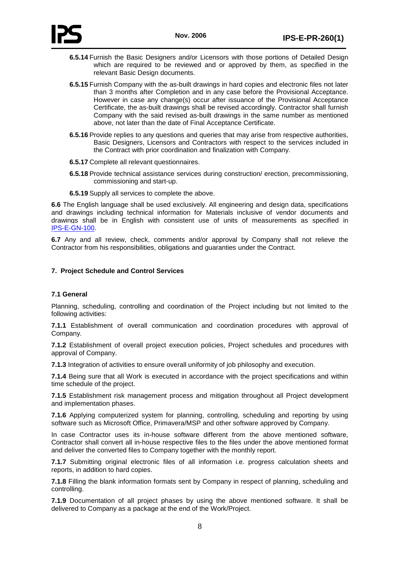- **6.5.14** Furnish the Basic Designers and/or Licensors with those portions of Detailed Design which are required to be reviewed and or approved by them, as specified in the relevant Basic Design documents.
- **6.5.15** Furnish Company with the as-built drawings in hard copies and electronic files not later than 3 months after Completion and in any case before the Provisional Acceptance. However in case any change(s) occur after issuance of the Provisional Acceptance Certificate, the as-built drawings shall be revised accordingly. Contractor shall furnish Company with the said revised as-built drawings in the same number as mentioned above, not later than the date of Final Acceptance Certificate.
- **6.5.16** Provide replies to any questions and queries that may arise from respective authorities, Basic Designers, Licensors and Contractors with respect to the services included in the Contract with prior coordination and finalization with Company.
- **6.5.17** Complete all relevant questionnaires.
- **6.5.18** Provide technical assistance services during construction/ erection, precommissioning, commissioning and start-up.
- **6.5.19** Supply all services to complete the above.

**6.6** The English language shall be used exclusively. All engineering and design data, specifications and drawings including technical information for Materials inclusive of vendor documents and drawings shall be in English with consistent use of units of measurements as specified in IPS-E-GN-100.

**6.7** Any and all review, check, comments and/or approval by Company shall not relieve the Contractor from his responsibilities, obligations and guaranties under the Contract.

# <span id="page-12-0"></span>**7. Project Schedule and Control Services**

# <span id="page-12-1"></span>**7.1 General**

Planning, scheduling, controlling and coordination of the Project including but not limited to the following activities:

**7.1.1** Establishment of overall communication and coordination procedures with approval of Company.

**7.1.2** Establishment of overall project execution policies, Project schedules and procedures with approval of Company.

**7.1.3** Integration of activities to ensure overall uniformity of job philosophy and execution.

**7.1.4** Being sure that all Work is executed in accordance with the project specifications and within time schedule of the project.

**7.1.5** Establishment risk management process and mitigation throughout all Project development and implementation phases.

**7.1.6** Applying computerized system for planning, controlling, scheduling and reporting by using software such as Microsoft Office, Primavera/MSP and other software approved by Company.

In case Contractor uses its in-house software different from the above mentioned software, Contractor shall convert all in-house respective files to the files under the above mentioned format and deliver the converted files to Company together with the monthly report.

**7.1.7** Submitting original electronic files of all information i.e. progress calculation sheets and reports, in addition to hard copies.

**7.1.8** Filling the blank information formats sent by Company in respect of planning, scheduling and controlling.

**7.1.9** Documentation of all project phases by using the above mentioned software. It shall be delivered to Company as a package at the end of the Work/Project.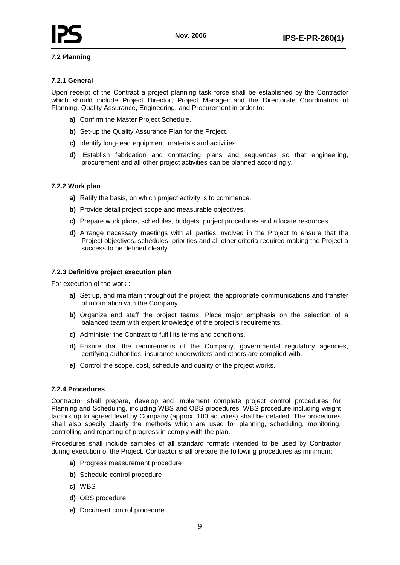

# <span id="page-13-0"></span>**7.2 Planning**

# **7.2.1 General**

Upon receipt of the Contract a project planning task force shall be established by the Contractor which should include Project Director, Project Manager and the Directorate Coordinators of Planning, Quality Assurance, Engineering, and Procurement in order to:

- **a)** Confirm the Master Project Schedule.
- **b)** Set-up the Quality Assurance Plan for the Project.
- **c)** Identify long-lead equipment, materials and activities.
- **d)** Establish fabrication and contracting plans and sequences so that engineering, procurement and all other project activities can be planned accordingly.

### **7.2.2 Work plan**

- **a)** Ratify the basis, on which project activity is to commence,
- **b)** Provide detail project scope and measurable objectives,
- **c)** Prepare work plans, schedules, budgets, project procedures and allocate resources.
- **d)** Arrange necessary meetings with all parties involved in the Project to ensure that the Project objectives, schedules, priorities and all other criteria required making the Project a success to be defined clearly.

#### **7.2.3 Definitive project execution plan**

For execution of the work :

- **a)** Set up, and maintain throughout the project, the appropriate communications and transfer of information with the Company.
- **b)** Organize and staff the project teams. Place major emphasis on the selection of a balanced team with expert knowledge of the project's requirements.
- **c)** Administer the Contract to fulfil its terms and conditions.
- **d)** Ensure that the requirements of the Company, governmental regulatory agencies, certifying authorities, insurance underwriters and others are complied with.
- **e)** Control the scope, cost, schedule and quality of the project works.

#### **7.2.4 Procedures**

Contractor shall prepare, develop and implement complete project control procedures for Planning and Scheduling, including WBS and OBS procedures. WBS procedure including weight factors up to agreed level by Company (approx. 100 activities) shall be detailed. The procedures shall also specify clearly the methods which are used for planning, scheduling, monitoring, controlling and reporting of progress in comply with the plan.

Procedures shall include samples of all standard formats intended to be used by Contractor during execution of the Project. Contractor shall prepare the following procedures as minimum:

- **a)** Progress measurement procedure
- **b)** Schedule control procedure
- **c)** WBS
- **d)** OBS procedure
- **e)** Document control procedure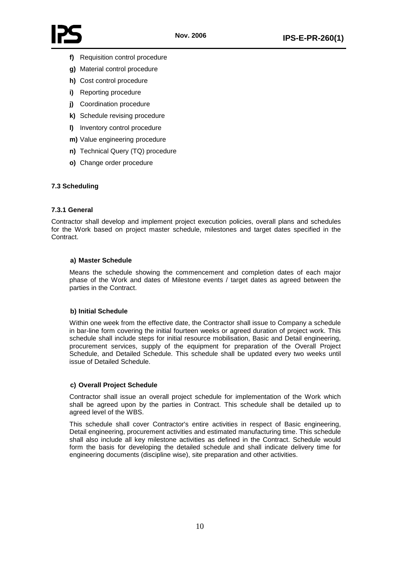

- **f)** Requisition control procedure
- **g)** Material control procedure
- **h)** Cost control procedure
- **i)** Reporting procedure
- **j)** Coordination procedure
- **k)** Schedule revising procedure
- **l)** Inventory control procedure
- **m)** Value engineering procedure
- **n)** Technical Query (TQ) procedure
- **o)** Change order procedure

# <span id="page-14-0"></span>**7.3 Scheduling**

# **7.3.1 General**

Contractor shall develop and implement project execution policies, overall plans and schedules for the Work based on project master schedule, milestones and target dates specified in the Contract.

### **a) Master Schedule**

Means the schedule showing the commencement and completion dates of each major phase of the Work and dates of Milestone events / target dates as agreed between the parties in the Contract.

# **b) Initial Schedule**

Within one week from the effective date, the Contractor shall issue to Company a schedule in bar-line form covering the initial fourteen weeks or agreed duration of project work. This schedule shall include steps for initial resource mobilisation, Basic and Detail engineering, procurement services, supply of the equipment for preparation of the Overall Project Schedule, and Detailed Schedule. This schedule shall be updated every two weeks until issue of Detailed Schedule.

# **c) Overall Project Schedule**

Contractor shall issue an overall project schedule for implementation of the Work which shall be agreed upon by the parties in Contract. This schedule shall be detailed up to agreed level of the WBS.

This schedule shall cover Contractor's entire activities in respect of Basic engineering, Detail engineering, procurement activities and estimated manufacturing time. This schedule shall also include all key milestone activities as defined in the Contract. Schedule would form the basis for developing the detailed schedule and shall indicate delivery time for engineering documents (discipline wise), site preparation and other activities.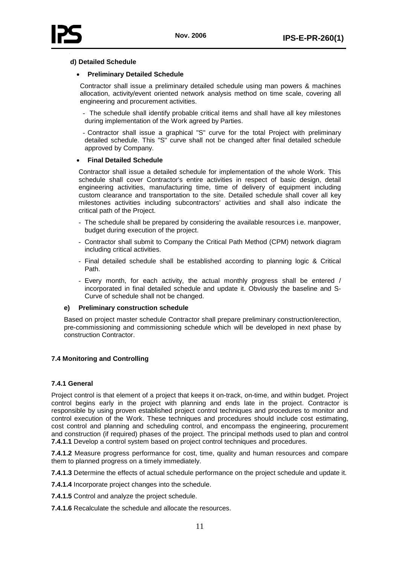

#### **d) Detailed Schedule**

## • **Preliminary Detailed Schedule**

Contractor shall issue a preliminary detailed schedule using man powers & machines allocation, activity/event oriented network analysis method on time scale, covering all engineering and procurement activities.

- The schedule shall identify probable critical items and shall have all key milestones during implementation of the Work agreed by Parties.

- Contractor shall issue a graphical "S" curve for the total Project with preliminary detailed schedule. This "S" curve shall not be changed after final detailed schedule approved by Company.

### • **Final Detailed Schedule**

Contractor shall issue a detailed schedule for implementation of the whole Work. This schedule shall cover Contractor's entire activities in respect of basic design, detail engineering activities, manufacturing time, time of delivery of equipment including custom clearance and transportation to the site. Detailed schedule shall cover all key milestones activities including subcontractors' activities and shall also indicate the critical path of the Project.

- The schedule shall be prepared by considering the available resources i.e. manpower, budget during execution of the project.
- Contractor shall submit to Company the Critical Path Method (CPM) network diagram including critical activities.
- Final detailed schedule shall be established according to planning logic & Critical Path.
- Every month, for each activity, the actual monthly progress shall be entered / incorporated in final detailed schedule and update it. Obviously the baseline and S-Curve of schedule shall not be changed.

#### **e) Preliminary construction schedule**

Based on project master schedule Contractor shall prepare preliminary construction/erection, pre-commissioning and commissioning schedule which will be developed in next phase by construction Contractor.

# <span id="page-15-0"></span>**7.4 Monitoring and Controlling**

# **7.4.1 General**

Project control is that element of a project that keeps it on-track, on-time, and within budget. Project control begins early in the project with planning and ends late in the project. Contractor is responsible by using proven established project control techniques and procedures to monitor and control execution of the Work. These techniques and procedures should include cost estimating, cost control and planning and scheduling control, and encompass the engineering, procurement and construction (if required) phases of the project. The principal methods used to plan and control **7.4.1.1** Develop a control system based on project control techniques and procedures.

**7.4.1.2** Measure progress performance for cost, time, quality and human resources and compare them to planned progress on a timely immediately.

**7.4.1.3** Determine the effects of actual schedule performance on the project schedule and update it.

**7.4.1.4** Incorporate project changes into the schedule.

**7.4.1.5** Control and analyze the project schedule.

**7.4.1.6** Recalculate the schedule and allocate the resources.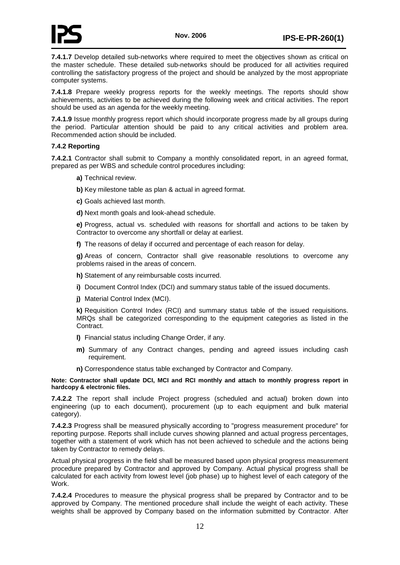

**7.4.1.7** Develop detailed sub-networks where required to meet the objectives shown as critical on the master schedule. These detailed sub-networks should be produced for all activities required controlling the satisfactory progress of the project and should be analyzed by the most appropriate computer systems.

**7.4.1.8** Prepare weekly progress reports for the weekly meetings. The reports should show achievements, activities to be achieved during the following week and critical activities. The report should be used as an agenda for the weekly meeting.

**7.4.1.9** Issue monthly progress report which should incorporate progress made by all groups during the period. Particular attention should be paid to any critical activities and problem area. Recommended action should be included.

### **7.4.2 Reporting**

**7.4.2.1** Contractor shall submit to Company a monthly consolidated report, in an agreed format, prepared as per WBS and schedule control procedures including:

- **a)** Technical review.
- **b)** Key milestone table as plan & actual in agreed format.
- **c)** Goals achieved last month.
- **d)** Next month goals and look-ahead schedule.

**e)** Progress, actual vs. scheduled with reasons for shortfall and actions to be taken by Contractor to overcome any shortfall or delay at earliest.

**f)** The reasons of delay if occurred and percentage of each reason for delay.

**g)** Areas of concern, Contractor shall give reasonable resolutions to overcome any problems raised in the areas of concern.

- **h)** Statement of any reimbursable costs incurred.
- **i)** Document Control Index (DCI) and summary status table of the issued documents.
- **j)** Material Control Index (MCI).

**k)** Requisition Control Index (RCI) and summary status table of the issued requisitions. MRQs shall be categorized corresponding to the equipment categories as listed in the Contract.

- **l)** Financial status including Change Order, if any.
- **m)** Summary of any Contract changes, pending and agreed issues including cash requirement.
- **n)** Correspondence status table exchanged by Contractor and Company.

**Note: Contractor shall update DCI, MCI and RCI monthly and attach to monthly progress report in hardcopy & electronic files.**

**7.4.2.2** The report shall include Project progress (scheduled and actual) broken down into engineering (up to each document), procurement (up to each equipment and bulk material category).

**7.4.2.3** Progress shall be measured physically according to "progress measurement procedure" for reporting purpose. Reports shall include curves showing planned and actual progress percentages, together with a statement of work which has not been achieved to schedule and the actions being taken by Contractor to remedy delays.

Actual physical progress in the field shall be measured based upon physical progress measurement procedure prepared by Contractor and approved by Company. Actual physical progress shall be calculated for each activity from lowest level (job phase) up to highest level of each category of the Work.

**7.4.2.4** Procedures to measure the physical progress shall be prepared by Contractor and to be approved by Company. The mentioned procedure shall include the weight of each activity. These weights shall be approved by Company based on the information submitted by Contractor. After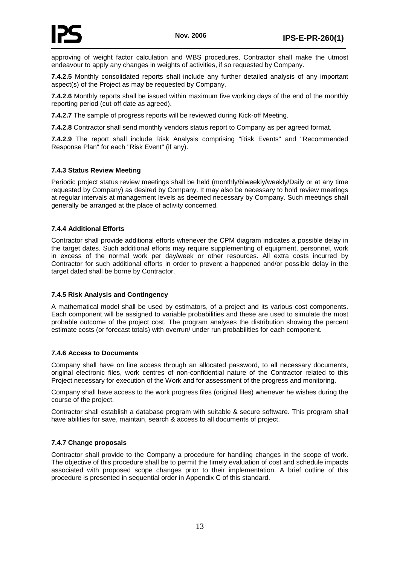

approving of weight factor calculation and WBS procedures, Contractor shall make the utmost endeavour to apply any changes in weights of activities, if so requested by Company.

**7.4.2.5** Monthly consolidated reports shall include any further detailed analysis of any important aspect(s) of the Project as may be requested by Company.

**7.4.2.6** Monthly reports shall be issued within maximum five working days of the end of the monthly reporting period (cut-off date as agreed).

**7.4.2.7** The sample of progress reports will be reviewed during Kick-off Meeting.

**7.4.2.8** Contractor shall send monthly vendors status report to Company as per agreed format.

**7.4.2.9** The report shall include Risk Analysis comprising "Risk Events" and "Recommended Response Plan" for each "Risk Event" (if any).

### **7.4.3 Status Review Meeting**

Periodic project status review meetings shall be held (monthly/biweekly/weekly/Daily or at any time requested by Company) as desired by Company. It may also be necessary to hold review meetings at regular intervals at management levels as deemed necessary by Company. Such meetings shall generally be arranged at the place of activity concerned.

### **7.4.4 Additional Efforts**

Contractor shall provide additional efforts whenever the CPM diagram indicates a possible delay in the target dates. Such additional efforts may require supplementing of equipment, personnel, work in excess of the normal work per day/week or other resources. All extra costs incurred by Contractor for such additional efforts in order to prevent a happened and/or possible delay in the target dated shall be borne by Contractor.

#### **7.4.5 Risk Analysis and Contingency**

A mathematical model shall be used by estimators, of a project and its various cost components. Each component will be assigned to variable probabilities and these are used to simulate the most probable outcome of the project cost. The program analyses the distribution showing the percent estimate costs (or forecast totals) with overrun/ under run probabilities for each component.

#### **7.4.6 Access to Documents**

Company shall have on line access through an allocated password, to all necessary documents, original electronic files, work centres of non-confidential nature of the Contractor related to this Project necessary for execution of the Work and for assessment of the progress and monitoring.

Company shall have access to the work progress files (original files) whenever he wishes during the course of the project.

Contractor shall establish a database program with suitable & secure software. This program shall have abilities for save, maintain, search & access to all documents of project.

#### **7.4.7 Change proposals**

<span id="page-17-0"></span>Contractor shall provide to the Company a procedure for handling changes in the scope of work. The objective of this procedure shall be to permit the timely evaluation of cost and schedule impacts associated with proposed scope changes prior to their implementation. A brief outline of this procedure is presented in sequential order in Appendix C of this standard.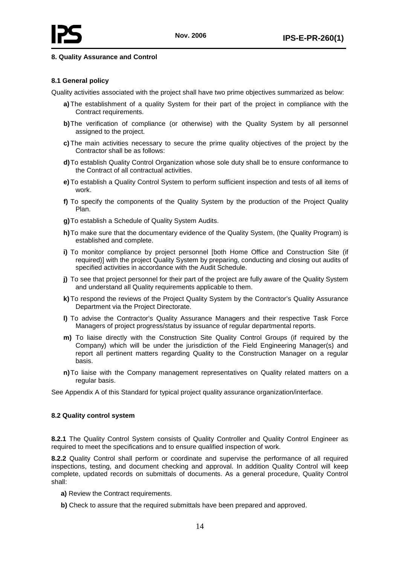## **8. Quality Assurance and Control**

### <span id="page-18-0"></span>**8.1 General policy**

Quality activities associated with the project shall have two prime objectives summarized as below:

- **a)** The establishment of a quality System for their part of the project in compliance with the Contract requirements.
- **b)**The verification of compliance (or otherwise) with the Quality System by all personnel assigned to the project.
- **c)** The main activities necessary to secure the prime quality objectives of the project by the Contractor shall be as follows:
- **d)**To establish Quality Control Organization whose sole duty shall be to ensure conformance to the Contract of all contractual activities.
- **e)** To establish a Quality Control System to perform sufficient inspection and tests of all items of work.
- **f)** To specify the components of the Quality System by the production of the Project Quality Plan.
- **g)**To establish a Schedule of Quality System Audits.
- **h)**To make sure that the documentary evidence of the Quality System, (the Quality Program) is established and complete.
- **i)** To monitor compliance by project personnel [both Home Office and Construction Site (if required)] with the project Quality System by preparing, conducting and closing out audits of specified activities in accordance with the Audit Schedule.
- **j)** To see that project personnel for their part of the project are fully aware of the Quality System and understand all Quality requirements applicable to them.
- **k)** To respond the reviews of the Project Quality System by the Contractor's Quality Assurance Department via the Project Directorate.
- **l)** To advise the Contractor's Quality Assurance Managers and their respective Task Force Managers of project progress/status by issuance of regular departmental reports.
- **m)** To liaise directly with the Construction Site Quality Control Groups (if required by the Company) which will be under the jurisdiction of the Field Engineering Manager(s) and report all pertinent matters regarding Quality to the Construction Manager on a regular basis.
- **n)**To liaise with the Company management representatives on Quality related matters on a regular basis.

See Appendix A of this Standard for typical project quality assurance organization/interface.

#### <span id="page-18-1"></span>**8.2 Quality control system**

**8.2.1** The Quality Control System consists of Quality Controller and Quality Control Engineer as required to meet the specifications and to ensure qualified inspection of work.

**8.2.2** Quality Control shall perform or coordinate and supervise the performance of all required inspections, testing, and document checking and approval. In addition Quality Control will keep complete, updated records on submittals of documents. As a general procedure, Quality Control shall:

- **a)** Review the Contract requirements.
- **b)** Check to assure that the required submittals have been prepared and approved.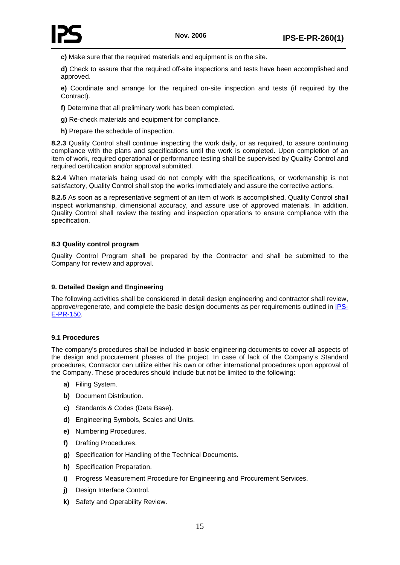

**c)** Make sure that the required materials and equipment is on the site.

**d)** Check to assure that the required off-site inspections and tests have been accomplished and approved.

**e)** Coordinate and arrange for the required on-site inspection and tests (if required by the Contract).

**f)** Determine that all preliminary work has been completed.

**g)** Re-check materials and equipment for compliance.

**h)** Prepare the schedule of inspection.

**8.2.3** Quality Control shall continue inspecting the work daily, or as required, to assure continuing compliance with the plans and specifications until the work is completed. Upon completion of an item of work, required operational or performance testing shall be supervised by Quality Control and required certification and/or approval submitted.

**8.2.4** When materials being used do not comply with the specifications, or workmanship is not satisfactory, Quality Control shall stop the works immediately and assure the corrective actions.

**8.2.5** As soon as a representative segment of an item of work is accomplished, Quality Control shall inspect workmanship, dimensional accuracy, and assure use of approved materials. In addition, Quality Control shall review the testing and inspection operations to ensure compliance with the specification.

# <span id="page-19-0"></span>**8.3 Quality control program**

Quality Control Program shall be prepared by the Contractor and shall be submitted to the Company for review and approval.

# <span id="page-19-1"></span>**9. Detailed Design and Engineering**

The following activities shall be considered in detail design engineering and contractor shall review, approve/regenerate, and complete the basic design documents as per requirements outlined in *IPS*-E-PR-150<sub></sub>

#### <span id="page-19-2"></span>**9.1 Procedures**

The company's procedures shall be included in basic engineering documents to cover all aspects of the design and procurement phases of the project. In case of lack of the Company's Standard procedures, Contractor can utilize either his own or other international procedures upon approval of the Company. These procedures should include but not be limited to the following:

- **a)** Filing System.
- **b)** Document Distribution.
- **c)** Standards & Codes (Data Base).
- **d)** Engineering Symbols, Scales and Units.
- **e)** Numbering Procedures.
- **f)** Drafting Procedures.
- **g)** Specification for Handling of the Technical Documents.
- **h)** Specification Preparation.
- **i)** Progress Measurement Procedure for Engineering and Procurement Services.
- **j)** Design Interface Control.
- **k)** Safety and Operability Review.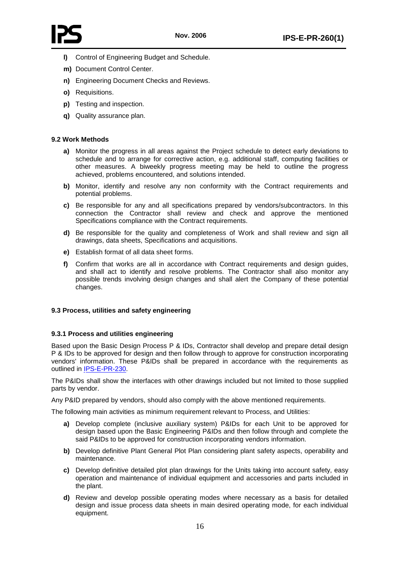

- **l)** Control of Engineering Budget and Schedule.
- **m)** Document Control Center.
- **n)** Engineering Document Checks and Reviews.
- **o)** Requisitions.
- **p)** Testing and inspection.
- **q)** Quality assurance plan.

# <span id="page-20-0"></span>**9.2 Work Methods**

- **a)** Monitor the progress in all areas against the Project schedule to detect early deviations to schedule and to arrange for corrective action, e.g. additional staff, computing facilities or other measures. A biweekly progress meeting may be held to outline the progress achieved, problems encountered, and solutions intended.
- **b)** Monitor, identify and resolve any non conformity with the Contract requirements and potential problems.
- **c)** Be responsible for any and all specifications prepared by vendors/subcontractors. In this connection the Contractor shall review and check and approve the mentioned Specifications compliance with the Contract requirements.
- **d)** Be responsible for the quality and completeness of Work and shall review and sign all drawings, data sheets, Specifications and acquisitions.
- **e)** Establish format of all data sheet forms.
- **f)** Confirm that works are all in accordance with Contract requirements and design guides, and shall act to identify and resolve problems. The Contractor shall also monitor any possible trends involving design changes and shall alert the Company of these potential changes.

# <span id="page-20-1"></span>**9.3 Process, utilities and safety engineering**

# **9.3.1 Process and utilities engineering**

Based upon the Basic Design Process P & IDs, Contractor shall develop and prepare detail design P & IDs to be approved for design and then follow through to approve for construction incorporating vendors' information. These P&IDs shall be prepared in accordance with the requirements as outlined in IPS-E-PR-230.

The P&IDs shall show the interfaces with other drawings included but not limited to those supplied parts by vendor.

Any P&ID prepared by vendors, should also comply with the above mentioned requirements.

The following main activities as minimum requirement relevant to Process, and Utilities:

- **a)** Develop complete (inclusive auxiliary system) P&IDs for each Unit to be approved for design based upon the Basic Engineering P&IDs and then follow through and complete the said P&IDs to be approved for construction incorporating vendors information.
- **b)** Develop definitive Plant General Plot Plan considering plant safety aspects, operability and maintenance.
- **c)** Develop definitive detailed plot plan drawings for the Units taking into account safety, easy operation and maintenance of individual equipment and accessories and parts included in the plant.
- **d)** Review and develop possible operating modes where necessary as a basis for detailed design and issue process data sheets in main desired operating mode, for each individual equipment.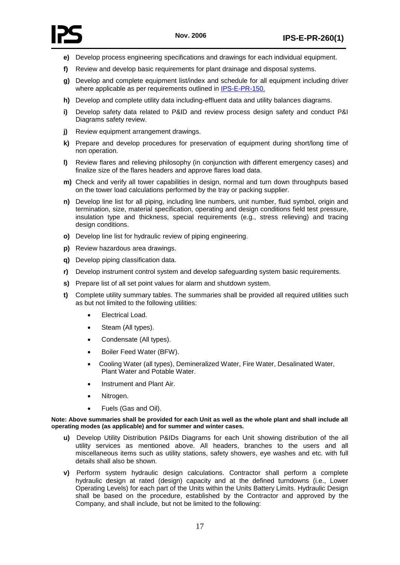

- **e)** Develop process engineering specifications and drawings for each individual equipment.
- **f)** Review and develop basic requirements for plant drainage and disposal systems.
- **g)** Develop and complete equipment list/index and schedule for all equipment including driver where applicable as per requirements outlined in [IPS-E-PR-150](/ips/pr/e-pr-150.pdf).
- **h)** Develop and complete utility data including-effluent data and utility balances diagrams.
- **i)** Develop safety data related to P&ID and review process design safety and conduct P&I Diagrams safety review.
- **j)** Review equipment arrangement drawings.
- **k)** Prepare and develop procedures for preservation of equipment during short/long time of non operation.
- **l)** Review flares and relieving philosophy (in conjunction with different emergency cases) and finalize size of the flares headers and approve flares load data.
- **m)** Check and verify all tower capabilities in design, normal and turn down throughputs based on the tower load calculations performed by the tray or packing supplier.
- **n)** Develop line list for all piping, including line numbers, unit number, fluid symbol, origin and termination, size, material specification, operating and design conditions field test pressure, insulation type and thickness, special requirements (e.g., stress relieving) and tracing design conditions.
- **o)** Develop line list for hydraulic review of piping engineering.
- **p)** Review hazardous area drawings.
- **q)** Develop piping classification data.
- **r)** Develop instrument control system and develop safeguarding system basic requirements.
- **s)** Prepare list of all set point values for alarm and shutdown system.
- **t)** Complete utility summary tables. The summaries shall be provided all required utilities such as but not limited to the following utilities:
	- Electrical Load.
	- Steam (All types).
	- Condensate (All types).
	- Boiler Feed Water (BFW).
	- Cooling Water (all types), Demineralized Water, Fire Water, Desalinated Water, Plant Water and Potable Water.
	- Instrument and Plant Air.
	- Nitrogen.
	- Fuels (Gas and Oil).

#### **Note: Above summaries shall be provided for each Unit as well as the whole plant and shall include all operating modes (as applicable) and for summer and winter cases.**

- **u)** Develop Utility Distribution P&IDs Diagrams for each Unit showing distribution of the all utility services as mentioned above. All headers, branches to the users and all miscellaneous items such as utility stations, safety showers, eye washes and etc. with full details shall also be shown.
- **v)** Perform system hydraulic design calculations. Contractor shall perform a complete hydraulic design at rated (design) capacity and at the defined turndowns (i.e., Lower Operating Levels) for each part of the Units within the Units Battery Limits. Hydraulic Design shall be based on the procedure, established by the Contractor and approved by the Company, and shall include, but not be limited to the following: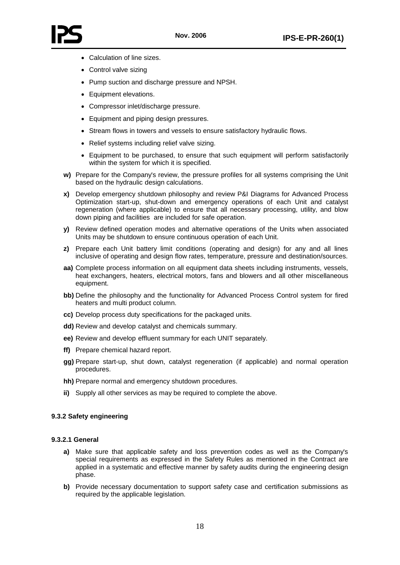

- Calculation of line sizes.
- Control valve sizing
- Pump suction and discharge pressure and NPSH.
- Equipment elevations.
- Compressor inlet/discharge pressure.
- Equipment and piping design pressures.
- Stream flows in towers and vessels to ensure satisfactory hydraulic flows.
- Relief systems including relief valve sizing.
- Equipment to be purchased, to ensure that such equipment will perform satisfactorily within the system for which it is specified.
- **w)** Prepare for the Company's review, the pressure profiles for all systems comprising the Unit based on the hydraulic design calculations.
- **x)** Develop emergency shutdown philosophy and review P&I Diagrams for Advanced Process Optimization start-up, shut-down and emergency operations of each Unit and catalyst regeneration (where applicable) to ensure that all necessary processing, utility, and blow down piping and facilities are included for safe operation.
- **y)** Review defined operation modes and alternative operations of the Units when associated Units may be shutdown to ensure continuous operation of each Unit.
- **z)** Prepare each Unit battery limit conditions (operating and design) for any and all lines inclusive of operating and design flow rates, temperature, pressure and destination/sources.
- **aa)** Complete process information on all equipment data sheets including instruments, vessels, heat exchangers, heaters, electrical motors, fans and blowers and all other miscellaneous equipment.
- **bb)** Define the philosophy and the functionality for Advanced Process Control system for fired heaters and multi product column.
- **cc)** Develop process duty specifications for the packaged units.
- **dd)** Review and develop catalyst and chemicals summary.
- **ee)** Review and develop effluent summary for each UNIT separately.
- **ff)** Prepare chemical hazard report.
- **gg)** Prepare start-up, shut down, catalyst regeneration (if applicable) and normal operation procedures.
- **hh)** Prepare normal and emergency shutdown procedures.
- **ii)** Supply all other services as may be required to complete the above.

#### **9.3.2 Safety engineering**

#### **9.3.2.1 General**

- **a)** Make sure that applicable safety and loss prevention codes as well as the Company's special requirements as expressed in the Safety Rules as mentioned in the Contract are applied in a systematic and effective manner by safety audits during the engineering design phase.
- **b)** Provide necessary documentation to support safety case and certification submissions as required by the applicable legislation.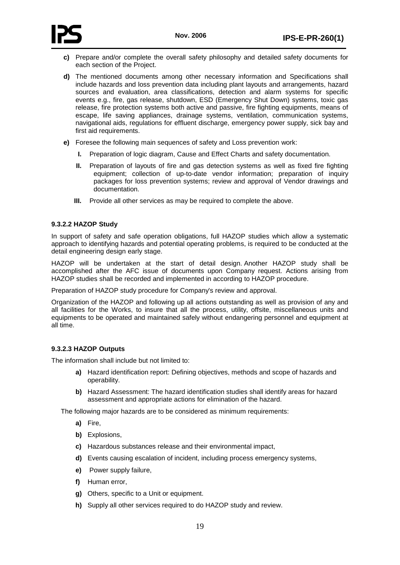

- **c)** Prepare and/or complete the overall safety philosophy and detailed safety documents for each section of the Project.
- **d)** The mentioned documents among other necessary information and Specifications shall include hazards and loss prevention data including plant layouts and arrangements, hazard sources and evaluation, area classifications, detection and alarm systems for specific events e.g., fire, gas release, shutdown, ESD (Emergency Shut Down) systems, toxic gas release, fire protection systems both active and passive, fire fighting equipments, means of escape, life saving appliances, drainage systems, ventilation, communication systems, navigational aids, regulations for effluent discharge, emergency power supply, sick bay and first aid requirements.
- **e)** Foresee the following main sequences of safety and Loss prevention work:
	- **I.** Preparation of logic diagram, Cause and Effect Charts and safety documentation.
	- **II.** Preparation of layouts of fire and gas detection systems as well as fixed fire fighting equipment; collection of up-to-date vendor information; preparation of inquiry packages for loss prevention systems; review and approval of Vendor drawings and documentation.
	- **III.** Provide all other services as may be required to complete the above.

### **9.3.2.2 HAZOP Study**

In support of safety and safe operation obligations, full HAZOP studies which allow a systematic approach to identifying hazards and potential operating problems, is required to be conducted at the detail engineering design early stage.

HAZOP will be undertaken at the start of detail design. Another HAZOP study shall be accomplished after the AFC issue of documents upon Company request. Actions arising from HAZOP studies shall be recorded and implemented in according to HAZOP procedure.

Preparation of HAZOP study procedure for Company's review and approval.

Organization of the HAZOP and following up all actions outstanding as well as provision of any and all facilities for the Works, to insure that all the process, utility, offsite, miscellaneous units and equipments to be operated and maintained safely without endangering personnel and equipment at all time.

# **9.3.2.3 HAZOP Outputs**

The information shall include but not limited to:

- **a)** Hazard identification report: Defining objectives, methods and scope of hazards and operability.
- **b)** Hazard Assessment: The hazard identification studies shall identify areas for hazard assessment and appropriate actions for elimination of the hazard.

The following major hazards are to be considered as minimum requirements:

- **a)** Fire,
- **b)** Explosions,
- **c)** Hazardous substances release and their environmental impact,
- **d)** Events causing escalation of incident, including process emergency systems,
- **e)** Power supply failure,
- **f)** Human error,
- **g)** Others, specific to a Unit or equipment.
- **h)** Supply all other services required to do HAZOP study and review.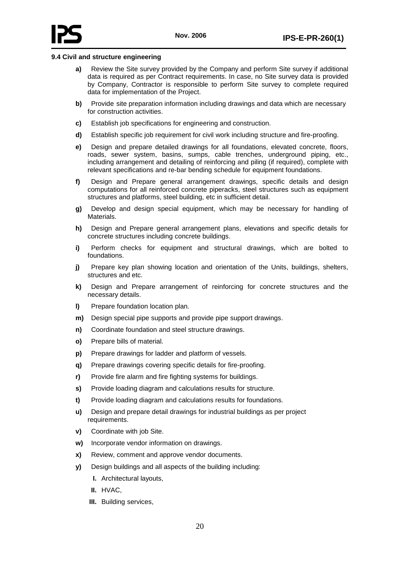

#### <span id="page-24-0"></span>**9.4 Civil and structure engineering**

- **a)** Review the Site survey provided by the Company and perform Site survey if additional data is required as per Contract requirements. In case, no Site survey data is provided by Company, Contractor is responsible to perform Site survey to complete required data for implementation of the Project.
- **b)** Provide site preparation information including drawings and data which are necessary for construction activities.
- **c)** Establish job specifications for engineering and construction.
- **d)** Establish specific job requirement for civil work including structure and fire-proofing.
- **e)** Design and prepare detailed drawings for all foundations, elevated concrete, floors, roads, sewer system, basins, sumps, cable trenches, underground piping, etc., including arrangement and detailing of reinforcing and piling (if required), complete with relevant specifications and re-bar bending schedule for equipment foundations.
- **f)** Design and Prepare general arrangement drawings, specific details and design computations for all reinforced concrete piperacks, steel structures such as equipment structures and platforms, steel building, etc in sufficient detail.
- **g)** Develop and design special equipment, which may be necessary for handling of Materials.
- **h)** Design and Prepare general arrangement plans, elevations and specific details for concrete structures including concrete buildings.
- **i)** Perform checks for equipment and structural drawings, which are bolted to foundations.
- **j)** Prepare key plan showing location and orientation of the Units, buildings, shelters, structures and etc.
- **k)** Design and Prepare arrangement of reinforcing for concrete structures and the necessary details.
- **l)** Prepare foundation location plan.
- **m)** Design special pipe supports and provide pipe support drawings.
- **n)** Coordinate foundation and steel structure drawings.
- **o)** Prepare bills of material.
- **p)** Prepare drawings for ladder and platform of vessels.
- **q)** Prepare drawings covering specific details for fire-proofing.
- **r)** Provide fire alarm and fire fighting systems for buildings.
- **s)** Provide loading diagram and calculations results for structure.
- **t)** Provide loading diagram and calculations results for foundations.
- **u)** Design and prepare detail drawings for industrial buildings as per project requirements.
- **v)** Coordinate with job Site.
- **w)** Incorporate vendor information on drawings.
- **x)** Review, comment and approve vendor documents.
- **y)** Design buildings and all aspects of the building including:
	- **I.** Architectural layouts,
	- **II.** HVAC,
	- **III.** Building services,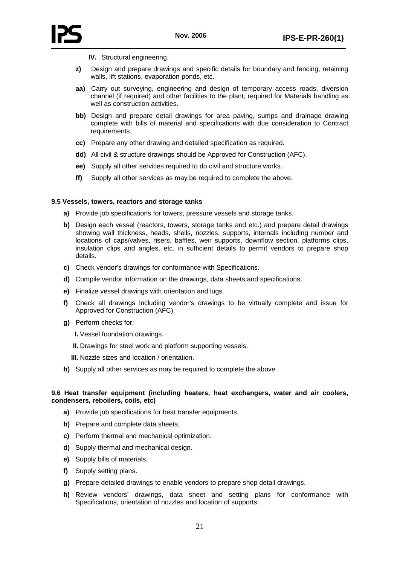



- **IV.** Structural engineering.
- **z)** Design and prepare drawings and specific details for boundary and fencing, retaining walls, lift stations, evaporation ponds, etc.
- **aa)** Carry out surveying, engineering and design of temporary access roads, diversion channel (if required) and other facilities to the plant, required for Materials handling as well as construction activities.
- **bb)** Design and prepare detail drawings for area paving, sumps and drainage drawing complete with bills of material and specifications with due consideration to Contract requirements.
- **cc)** Prepare any other drawing and detailed specification as required.
- **dd)** All civil & structure drawings should be Approved for Construction (AFC).
- **ee)** Supply all other services required to do civil and structure works.
- **ff)** Supply all other services as may be required to complete the above.

#### <span id="page-25-0"></span>**9.5 Vessels, towers, reactors and storage tanks**

- **a)** Provide job specifications for towers, pressure vessels and storage tanks.
- **b)** Design each vessel (reactors, towers, storage tanks and etc.) and prepare detail drawings showing wall thickness, heads, shells, nozzles, supports, internals including number and locations of caps/valves, risers, baffles, weir supports, downflow section, platforms clips, insulation clips and angles, etc. in sufficient details to permit vendors to prepare shop details.
- **c)** Check vendor's drawings for conformance with Specifications.
- **d)** Compile vendor information on the drawings, data sheets and specifications.
- **e)** Finalize vessel drawings with orientation and lugs.
- **f)** Check all drawings including vendor's drawings to be virtually complete and issue for Approved for Construction (AFC).
- **g)** Perform checks for:
	- **I.** Vessel foundation drawings.
	- **II.** Drawings for steel work and platform supporting vessels.
	- **III.** Nozzle sizes and location / orientation.
- **h)** Supply all other services as may be required to complete the above.

### <span id="page-25-1"></span>**9.6 Heat transfer equipment (including heaters, heat exchangers, water and air coolers, condensers, reboilers, coils, etc)**

- **a)** Provide job specifications for heat transfer equipments.
- **b)** Prepare and complete data sheets.
- **c)** Perform thermal and mechanical optimization.
- **d)** Supply thermal and mechanical design.
- **e)** Supply bills of materials.
- **f)** Supply setting plans.
- **g)** Prepare detailed drawings to enable vendors to prepare shop detail drawings.
- **h)** Review vendors' drawings, data sheet and setting plans for conformance with Specifications, orientation of nozzles and location of supports.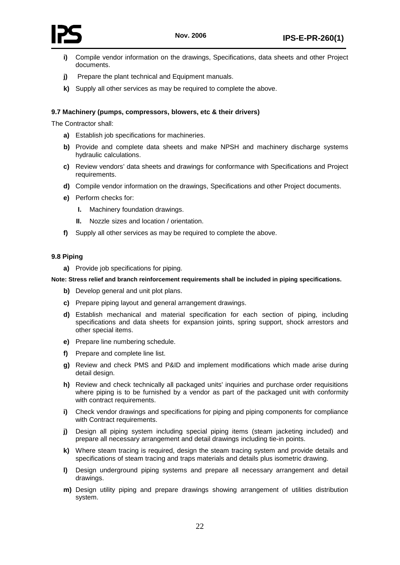

- **i)** Compile vendor information on the drawings, Specifications, data sheets and other Project documents.
- **j)** Prepare the plant technical and Equipment manuals.
- **k)** Supply all other services as may be required to complete the above.

### <span id="page-26-0"></span>**9.7 Machinery (pumps, compressors, blowers, etc & their drivers)**

The Contractor shall:

- **a)** Establish job specifications for machineries.
- **b)** Provide and complete data sheets and make NPSH and machinery discharge systems hydraulic calculations.
- **c)** Review vendors' data sheets and drawings for conformance with Specifications and Project requirements.
- **d)** Compile vendor information on the drawings, Specifications and other Project documents.
- **e)** Perform checks for:
	- **I.** Machinery foundation drawings.
	- **II.** Nozzle sizes and location / orientation.
- **f)** Supply all other services as may be required to complete the above.

### <span id="page-26-1"></span>**9.8 Piping**

**a)** Provide job specifications for piping.

#### **Note: Stress relief and branch reinforcement requirements shall be included in piping specifications.**

- **b)** Develop general and unit plot plans.
- **c)** Prepare piping layout and general arrangement drawings.
- **d)** Establish mechanical and material specification for each section of piping, including specifications and data sheets for expansion joints, spring support, shock arrestors and other special items.
- **e)** Prepare line numbering schedule.
- **f)** Prepare and complete line list.
- **g)** Review and check PMS and P&ID and implement modifications which made arise during detail design.
- **h)** Review and check technically all packaged units' inquiries and purchase order requisitions where piping is to be furnished by a vendor as part of the packaged unit with conformity with contract requirements.
- **i)** Check vendor drawings and specifications for piping and piping components for compliance with Contract requirements.
- **j)** Design all piping system including special piping items (steam jacketing included) and prepare all necessary arrangement and detail drawings including tie-in points.
- **k)** Where steam tracing is required, design the steam tracing system and provide details and specifications of steam tracing and traps materials and details plus isometric drawing.
- **l)** Design underground piping systems and prepare all necessary arrangement and detail drawings.
- **m)** Design utility piping and prepare drawings showing arrangement of utilities distribution system.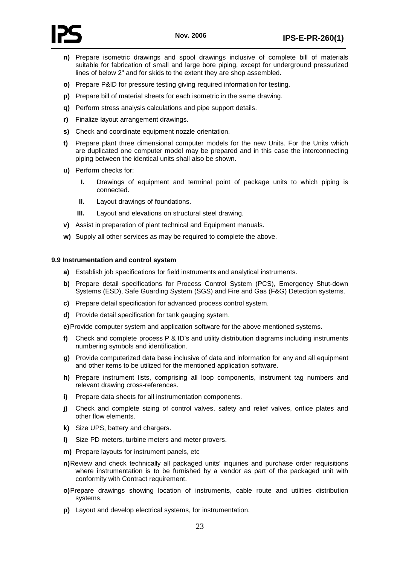

- **n)** Prepare isometric drawings and spool drawings inclusive of complete bill of materials suitable for fabrication of small and large bore piping, except for underground pressurized lines of below 2" and for skids to the extent they are shop assembled.
- **o)** Prepare P&ID for pressure testing giving required information for testing.
- **p)** Prepare bill of material sheets for each isometric in the same drawing.
- **q)** Perform stress analysis calculations and pipe support details.
- **r)** Finalize layout arrangement drawings.
- **s)** Check and coordinate equipment nozzle orientation.
- **t)** Prepare plant three dimensional computer models for the new Units. For the Units which are duplicated one computer model may be prepared and in this case the interconnecting piping between the identical units shall also be shown.
- **u)** Perform checks for:
	- **I.** Drawings of equipment and terminal point of package units to which piping is connected.
	- **II.** Layout drawings of foundations.
	- **III.** Layout and elevations on structural steel drawing.
- **v)** Assist in preparation of plant technical and Equipment manuals.
- **w)** Supply all other services as may be required to complete the above.

#### <span id="page-27-0"></span>**9.9 Instrumentation and control system**

- **a)** Establish job specifications for field instruments and analytical instruments.
- **b)** Prepare detail specifications for Process Control System (PCS), Emergency Shut-down Systems (ESD), Safe Guarding System (SGS) and Fire and Gas (F&G) Detection systems.
- **c)** Prepare detail specification for advanced process control system.
- **d)** Provide detail specification for tank gauging system.

**e)**Provide computer system and application software for the above mentioned systems.

- **f)** Check and complete process P & ID's and utility distribution diagrams including instruments numbering symbols and identification.
- **g)** Provide computerized data base inclusive of data and information for any and all equipment and other items to be utilized for the mentioned application software.
- **h)** Prepare instrument lists, comprising all loop components, instrument tag numbers and relevant drawing cross-references.
- **i)** Prepare data sheets for all instrumentation components.
- **j)** Check and complete sizing of control valves, safety and relief valves, orifice plates and other flow elements.
- **k)** Size UPS, battery and chargers.
- **l)** Size PD meters, turbine meters and meter provers.
- **m)** Prepare layouts for instrument panels, etc
- **n)**Review and check technically all packaged units' inquiries and purchase order requisitions where instrumentation is to be furnished by a vendor as part of the packaged unit with conformity with Contract requirement.
- **o)**Prepare drawings showing location of instruments, cable route and utilities distribution systems.
- **p)** Layout and develop electrical systems, for instrumentation.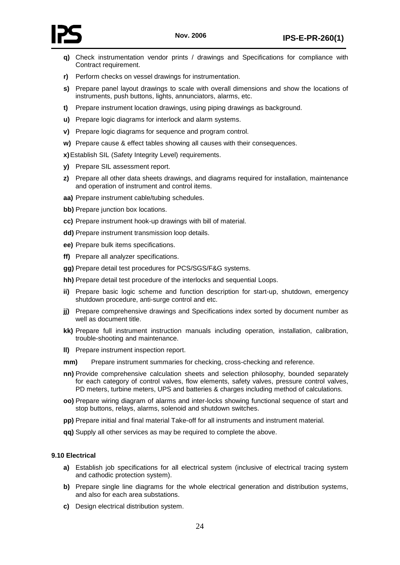

- **q)** Check instrumentation vendor prints / drawings and Specifications for compliance with Contract requirement.
- **r)** Perform checks on vessel drawings for instrumentation.
- **s)** Prepare panel layout drawings to scale with overall dimensions and show the locations of instruments, push buttons, lights, annunciators, alarms, etc.
- **t)** Prepare instrument location drawings, using piping drawings as background.
- **u)** Prepare logic diagrams for interlock and alarm systems.
- **v)** Prepare logic diagrams for sequence and program control.
- **w)** Prepare cause & effect tables showing all causes with their consequences.

**x)**Establish SIL (Safety Integrity Level) requirements.

- **y)** Prepare SIL assessment report.
- **z)** Prepare all other data sheets drawings, and diagrams required for installation, maintenance and operation of instrument and control items.
- **aa)** Prepare instrument cable/tubing schedules.
- **bb)** Prepare junction box locations.
- **cc)** Prepare instrument hook-up drawings with bill of material.
- **dd)** Prepare instrument transmission loop details.
- **ee)** Prepare bulk items specifications.
- **ff)** Prepare all analyzer specifications.
- **gg)** Prepare detail test procedures for PCS/SGS/F&G systems.
- **hh)** Prepare detail test procedure of the interlocks and sequential Loops.
- **ii)** Prepare basic logic scheme and function description for start-up, shutdown, emergency shutdown procedure, anti-surge control and etc.
- **jj)** Prepare comprehensive drawings and Specifications index sorted by document number as well as document title.
- **kk)** Prepare full instrument instruction manuals including operation, installation, calibration, trouble-shooting and maintenance.
- **ll)** Prepare instrument inspection report.
- **mm)** Prepare instrument summaries for checking, cross-checking and reference.
- **nn)** Provide comprehensive calculation sheets and selection philosophy, bounded separately for each category of control valves, flow elements, safety valves, pressure control valves, PD meters, turbine meters, UPS and batteries & charges including method of calculations.
- **oo)** Prepare wiring diagram of alarms and inter-locks showing functional sequence of start and stop buttons, relays, alarms, solenoid and shutdown switches.
- **pp)** Prepare initial and final material Take-off for all instruments and instrument material.
- **qq)** Supply all other services as may be required to complete the above.

### <span id="page-28-0"></span>**9.10 Electrical**

- **a)** Establish job specifications for all electrical system (inclusive of electrical tracing system and cathodic protection system).
- **b)** Prepare single line diagrams for the whole electrical generation and distribution systems, and also for each area substations.
- **c)** Design electrical distribution system.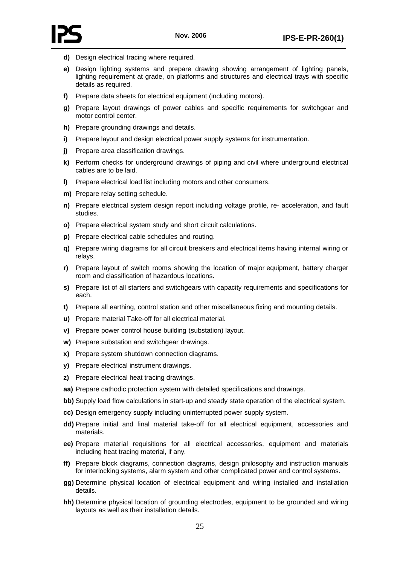



- **d)** Design electrical tracing where required.
- **e)** Design lighting systems and prepare drawing showing arrangement of lighting panels, lighting requirement at grade, on platforms and structures and electrical trays with specific details as required.
- **f)** Prepare data sheets for electrical equipment (including motors).
- **g)** Prepare layout drawings of power cables and specific requirements for switchgear and motor control center.
- **h)** Prepare grounding drawings and details.
- **i)** Prepare layout and design electrical power supply systems for instrumentation.
- **j)** Prepare area classification drawings.
- **k)** Perform checks for underground drawings of piping and civil where underground electrical cables are to be laid.
- **l)** Prepare electrical load list including motors and other consumers.
- **m)** Prepare relay setting schedule.
- **n)** Prepare electrical system design report including voltage profile, re- acceleration, and fault studies.
- **o)** Prepare electrical system study and short circuit calculations.
- **p)** Prepare electrical cable schedules and routing.
- **q)** Prepare wiring diagrams for all circuit breakers and electrical items having internal wiring or relays.
- **r)** Prepare layout of switch rooms showing the location of major equipment, battery charger room and classification of hazardous locations.
- **s)** Prepare list of all starters and switchgears with capacity requirements and specifications for each.
- **t)** Prepare all earthing, control station and other miscellaneous fixing and mounting details.
- **u)** Prepare material Take-off for all electrical material.
- **v)** Prepare power control house building (substation) layout.
- **w)** Prepare substation and switchgear drawings.
- **x)** Prepare system shutdown connection diagrams.
- **y)** Prepare electrical instrument drawings.
- **z)** Prepare electrical heat tracing drawings.
- **aa)** Prepare cathodic protection system with detailed specifications and drawings.
- **bb)** Supply load flow calculations in start-up and steady state operation of the electrical system.
- **cc)** Design emergency supply including uninterrupted power supply system.
- **dd)** Prepare initial and final material take-off for all electrical equipment, accessories and materials.
- **ee)** Prepare material requisitions for all electrical accessories, equipment and materials including heat tracing material, if any.
- **ff)** Prepare block diagrams, connection diagrams, design philosophy and instruction manuals for interlocking systems, alarm system and other complicated power and control systems.
- **gg)** Determine physical location of electrical equipment and wiring installed and installation details.
- **hh)** Determine physical location of grounding electrodes, equipment to be grounded and wiring layouts as well as their installation details.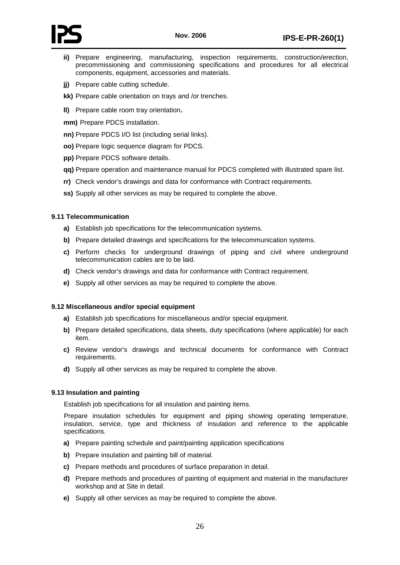

- **ii)** Prepare engineering, manufacturing, inspection requirements, construction/erection, precommissioning and commissioning specifications and procedures for all electrical components, equipment, accessories and materials.
- **ji)** Prepare cable cutting schedule.
- **kk)** Prepare cable orientation on trays and /or trenches.
- **ll)** Prepare cable room tray orientation.
- **mm)** Prepare PDCS installation.
- **nn)** Prepare PDCS I/O list (including serial links).
- **oo)** Prepare logic sequence diagram for PDCS.
- **pp)** Prepare PDCS software details.
- **qq)** Prepare operation and maintenance manual for PDCS completed with illustrated spare list.
- **rr)** Check vendor's drawings and data for conformance with Contract requirements.
- **ss)** Supply all other services as may be required to complete the above.

# <span id="page-30-0"></span>**9.11 Telecommunication**

- **a)** Establish job specifications for the telecommunication systems.
- **b)** Prepare detailed drawings and specifications for the telecommunication systems.
- **c)** Perform checks for underground drawings of piping and civil where underground telecommunication cables are to be laid.
- **d)** Check vendor's drawings and data for conformance with Contract requirement.
- **e)** Supply all other services as may be required to complete the above.

# <span id="page-30-1"></span>**9.12 Miscellaneous and/or special equipment**

- **a)** Establish job specifications for miscellaneous and/or special equipment.
- **b)** Prepare detailed specifications, data sheets, duty specifications (where applicable) for each item.
- **c)** Review vendor's drawings and technical documents for conformance with Contract requirements.
- **d)** Supply all other services as may be required to complete the above.

# <span id="page-30-2"></span>**9.13 Insulation and painting**

Establish job specifications for all insulation and painting items.

Prepare insulation schedules for equipment and piping showing operating temperature, insulation, service, type and thickness of insulation and reference to the applicable specifications.

- **a)** Prepare painting schedule and paint/painting application specifications
- **b)** Prepare insulation and painting bill of material.
- **c)** Prepare methods and procedures of surface preparation in detail.
- **d)** Prepare methods and procedures of painting of equipment and material in the manufacturer workshop and at Site in detail.
- <span id="page-30-3"></span>**e)** Supply all other services as may be required to complete the above.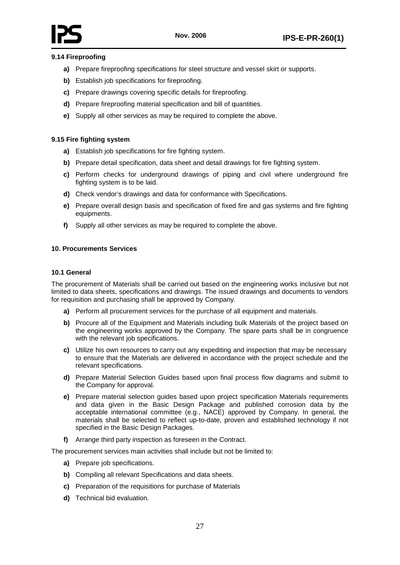# **9.14 Fireproofing**

- **a)** Prepare fireproofing specifications for steel structure and vessel skirt or supports.
- **b)** Establish job specifications for fireproofing.
- **c)** Prepare drawings covering specific details for fireproofing.
- **d)** Prepare fireproofing material specification and bill of quantities.
- **e)** Supply all other services as may be required to complete the above.

# <span id="page-31-0"></span>**9.15 Fire fighting system**

- **a)** Establish job specifications for fire fighting system.
- **b)** Prepare detail specification, data sheet and detail drawings for fire fighting system.
- **c)** Perform checks for underground drawings of piping and civil where underground fire fighting system is to be laid.
- **d)** Check vendor's drawings and data for conformance with Specifications.
- **e)** Prepare overall design basis and specification of fixed fire and gas systems and fire fighting equipments.
- **f)** Supply all other services as may be required to complete the above.

### <span id="page-31-2"></span><span id="page-31-1"></span>**10. Procurements Services**

#### **10.1 General**

The procurement of Materials shall be carried out based on the engineering works inclusive but not limited to data sheets, specifications and drawings. The issued drawings and documents to vendors for requisition and purchasing shall be approved by Company.

- **a)** Perform all procurement services for the purchase of all equipment and materials.
- **b)** Procure all of the Equipment and Materials including bulk Materials of the project based on the engineering works approved by the Company. The spare parts shall be in congruence with the relevant job specifications.
- **c)** Utilize his own resources to carry out any expediting and inspection that may be necessary to ensure that the Materials are delivered in accordance with the project schedule and the relevant specifications.
- **d)** Prepare Material Selection Guides based upon final process flow diagrams and submit to the Company for approval.
- **e)** Prepare material selection guides based upon project specification Materials requirements and data given in the Basic Design Package and published corrosion data by the acceptable international committee (e.g., NACE) approved by Company. In general, the materials shall be selected to reflect up-to-date, proven and established technology if not specified in the Basic Design Packages.
- **f)** Arrange third party inspection as foreseen in the Contract.

The procurement services main activities shall include but not be limited to:

- **a)** Prepare job specifications.
- **b)** Compiling all relevant Specifications and data sheets.
- **c)** Preparation of the requisitions for purchase of Materials
- **d)** Technical bid evaluation.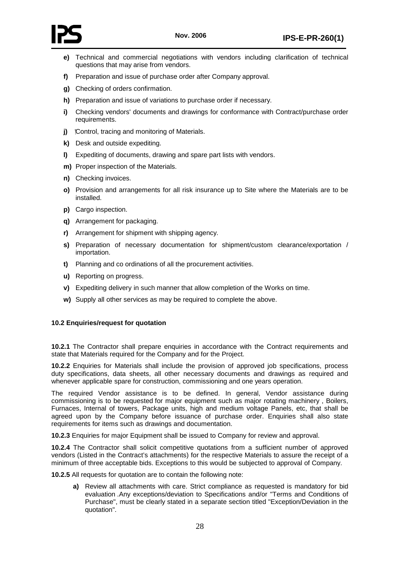

- **e)** Technical and commercial negotiations with vendors including clarification of technical questions that may arise from vendors.
- **f)** Preparation and issue of purchase order after Company approval.
- **g)** Checking of orders confirmation.
- **h)** Preparation and issue of variations to purchase order if necessary.
- **i)** Checking vendors' documents and drawings for conformance with Contract/purchase order requirements.
- **j)** Control, tracing and monitoring of Materials.
- **k)** Desk and outside expediting.
- **l)** Expediting of documents, drawing and spare part lists with vendors.
- **m)** Proper inspection of the Materials.
- **n)** Checking invoices.
- **o)** Provision and arrangements for all risk insurance up to Site where the Materials are to be installed.
- **p)** Cargo inspection.
- **q)** Arrangement for packaging.
- **r)** Arrangement for shipment with shipping agency.
- **s)** Preparation of necessary documentation for shipment/custom clearance/exportation / importation.
- **t)** Planning and co ordinations of all the procurement activities.
- **u)** Reporting on progress.
- **v)** Expediting delivery in such manner that allow completion of the Works on time.
- **w)** Supply all other services as may be required to complete the above.

# <span id="page-32-0"></span>**10.2 Enquiries/request for quotation**

**10.2.1** The Contractor shall prepare enquiries in accordance with the Contract requirements and state that Materials required for the Company and for the Project.

**10.2.2** Enquiries for Materials shall include the provision of approved job specifications, process duty specifications, data sheets, all other necessary documents and drawings as required and whenever applicable spare for construction, commissioning and one years operation.

The required Vendor assistance is to be defined. In general, Vendor assistance during commissioning is to be requested for major equipment such as major rotating machinery , Boilers, Furnaces, Internal of towers, Package units, high and medium voltage Panels, etc, that shall be agreed upon by the Company before issuance of purchase order. Enquiries shall also state requirements for items such as drawings and documentation.

**10.2.3** Enquiries for major Equipment shall be issued to Company for review and approval.

**10.2.4** The Contractor shall solicit competitive quotations from a sufficient number of approved vendors (Listed in the Contract's attachments) for the respective Materials to assure the receipt of a minimum of three acceptable bids. Exceptions to this would be subjected to approval of Company.

**10.2.5** All requests for quotation are to contain the following note:

**a)** Review all attachments with care. Strict compliance as requested is mandatory for bid evaluation .Any exceptions/deviation to Specifications and/or "Terms and Conditions of Purchase", must be clearly stated in a separate section titled "Exception/Deviation in the quotation".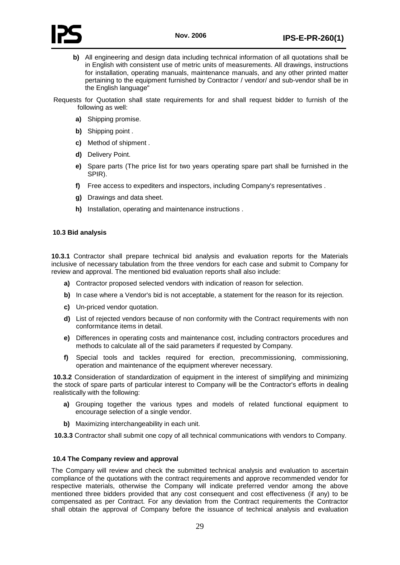



- **b)** All engineering and design data including technical information of all quotations shall be in English with consistent use of metric units of measurements. All drawings, instructions for installation, operating manuals, maintenance manuals, and any other printed matter pertaining to the equipment furnished by Contractor / vendor/ and sub-vendor shall be in the English language"
- Requests for Quotation shall state requirements for and shall request bidder to furnish of the following as well:
	- **a)** Shipping promise.
	- **b)** Shipping point .
	- **c)** Method of shipment .
	- **d)** Delivery Point.
	- **e)** Spare parts (The price list for two years operating spare part shall be furnished in the SPIR).
	- **f)** Free access to expediters and inspectors, including Company's representatives .
	- **g)** Drawings and data sheet.
	- **h)** Installation, operating and maintenance instructions .

# <span id="page-33-0"></span>**10.3 Bid analysis**

**10.3.1** Contractor shall prepare technical bid analysis and evaluation reports for the Materials inclusive of necessary tabulation from the three vendors for each case and submit to Company for review and approval. The mentioned bid evaluation reports shall also include:

- **a)** Contractor proposed selected vendors with indication of reason for selection.
- **b)** In case where a Vendor's bid is not acceptable, a statement for the reason for its rejection.
- **c)** Un-priced vendor quotation.
- **d)** List of rejected vendors because of non conformity with the Contract requirements with non conformitance items in detail.
- **e)** Differences in operating costs and maintenance cost, including contractors procedures and methods to calculate all of the said parameters if requested by Company.
- **f)** Special tools and tackles required for erection, precommissioning, commissioning, operation and maintenance of the equipment wherever necessary.

**10.3.2** Consideration of standardization of equipment in the interest of simplifying and minimizing the stock of spare parts of particular interest to Company will be the Contractor's efforts in dealing realistically with the following:

- **a)** Grouping together the various types and models of related functional equipment to encourage selection of a single vendor.
- **b)** Maximizing interchangeability in each unit.

**10.3.3** Contractor shall submit one copy of all technical communications with vendors to Company.

# <span id="page-33-1"></span>**10.4 The Company review and approval**

The Company will review and check the submitted technical analysis and evaluation to ascertain compliance of the quotations with the contract requirements and approve recommended vendor for respective materials, otherwise the Company will indicate preferred vendor among the above mentioned three bidders provided that any cost consequent and cost effectiveness (if any) to be compensated as per Contract. For any deviation from the Contract requirements the Contractor shall obtain the approval of Company before the issuance of technical analysis and evaluation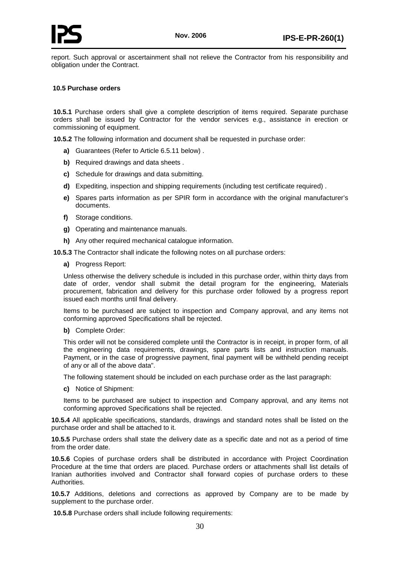report. Such approval or ascertainment shall not relieve the Contractor from his responsibility and obligation under the Contract.

### <span id="page-34-0"></span>**10.5 Purchase orders**

**10.5.1** Purchase orders shall give a complete description of items required. Separate purchase orders shall be issued by Contractor for the vendor services e.g., assistance in erection or commissioning of equipment.

**10.5.2** The following information and document shall be requested in purchase order:

- **a)** Guarantees (Refer to Article 6.5.11 below) .
- **b)** Required drawings and data sheets .
- **c)** Schedule for drawings and data submitting.
- **d)** Expediting, inspection and shipping requirements (including test certificate required) .
- **e)** Spares parts information as per SPIR form in accordance with the original manufacturer's documents.
- **f)** Storage conditions.
- **g)** Operating and maintenance manuals.
- **h)** Any other required mechanical catalogue information.

**10.5.3** The Contractor shall indicate the following notes on all purchase orders:

**a)** Progress Report:

Unless otherwise the delivery schedule is included in this purchase order, within thirty days from date of order, vendor shall submit the detail program for the engineering, Materials procurement, fabrication and delivery for this purchase order followed by a progress report issued each months until final delivery.

Items to be purchased are subject to inspection and Company approval, and any items not conforming approved Specifications shall be rejected.

#### **b)** Complete Order:

This order will not be considered complete until the Contractor is in receipt, in proper form, of all the engineering data requirements, drawings, spare parts lists and instruction manuals. Payment, or in the case of progressive payment, final payment will be withheld pending receipt of any or all of the above data".

The following statement should be included on each purchase order as the last paragraph:

**c)** Notice of Shipment:

Items to be purchased are subject to inspection and Company approval, and any items not conforming approved Specifications shall be rejected.

**10.5.4** All applicable specifications, standards, drawings and standard notes shall be listed on the purchase order and shall be attached to it.

**10.5.5** Purchase orders shall state the delivery date as a specific date and not as a period of time from the order date.

**10.5.6** Copies of purchase orders shall be distributed in accordance with Project Coordination Procedure at the time that orders are placed. Purchase orders or attachments shall list details of Iranian authorities involved and Contractor shall forward copies of purchase orders to these Authorities.

**10.5.7** Additions, deletions and corrections as approved by Company are to be made by supplement to the purchase order.

**10.5.8** Purchase orders shall include following requirements: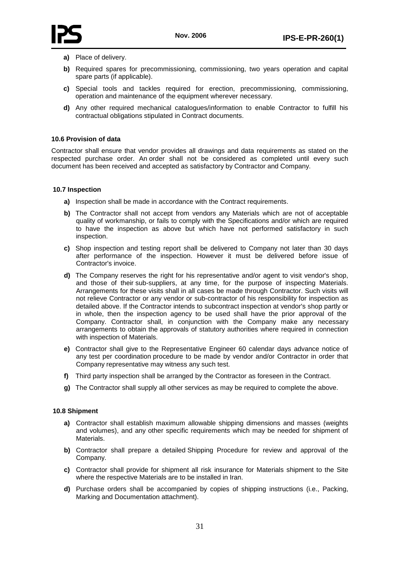

- **a)** Place of delivery.
- **b)** Required spares for precommissioning, commissioning, two years operation and capital spare parts (if applicable).
- **c)** Special tools and tackles required for erection, precommissioning, commissioning, operation and maintenance of the equipment wherever necessary.
- **d)** Any other required mechanical catalogues/information to enable Contractor to fulfill his contractual obligations stipulated in Contract documents.

#### <span id="page-35-0"></span>**10.6 Provision of data**

Contractor shall ensure that vendor provides all drawings and data requirements as stated on the respected purchase order. An order shall not be considered as completed until every such document has been received and accepted as satisfactory by Contractor and Company.

### <span id="page-35-1"></span>**10.7 Inspection**

- **a)** Inspection shall be made in accordance with the Contract requirements.
- **b)** The Contractor shall not accept from vendors any Materials which are not of acceptable quality of workmanship, or fails to comply with the Specifications and/or which are required to have the inspection as above but which have not performed satisfactory in such inspection.
- **c)** Shop inspection and testing report shall be delivered to Company not later than 30 days after performance of the inspection. However it must be delivered before issue of Contractor's invoice.
- **d)** The Company reserves the right for his representative and/or agent to visit vendor's shop, and those of their sub-suppliers, at any time, for the purpose of inspecting Materials. Arrangements for these visits shall in all cases be made through Contractor. Such visits will not relieve Contractor or any vendor or sub-contractor of his responsibility for inspection as detailed above. If the Contractor intends to subcontract inspection at vendor's shop partly or in whole, then the inspection agency to be used shall have the prior approval of the Company. Contractor shall, in conjunction with the Company make any necessary arrangements to obtain the approvals of statutory authorities where required in connection with inspection of Materials.
- **e)** Contractor shall give to the Representative Engineer 60 calendar days advance notice of any test per coordination procedure to be made by vendor and/or Contractor in order that Company representative may witness any such test.
- **f)** Third party inspection shall be arranged by the Contractor as foreseen in the Contract.
- **g)** The Contractor shall supply all other services as may be required to complete the above.

# <span id="page-35-2"></span>**10.8 Shipment**

- **a)** Contractor shall establish maximum allowable shipping dimensions and masses (weights and volumes), and any other specific requirements which may be needed for shipment of Materials.
- **b)** Contractor shall prepare a detailed Shipping Procedure for review and approval of the Company.
- **c)** Contractor shall provide for shipment all risk insurance for Materials shipment to the Site where the respective Materials are to be installed in Iran.
- **d)** Purchase orders shall be accompanied by copies of shipping instructions (i.e., Packing, Marking and Documentation attachment).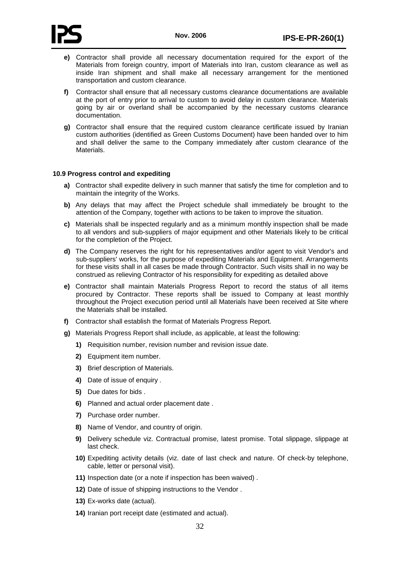

- **e)** Contractor shall provide all necessary documentation required for the export of the Materials from foreign country, import of Materials into Iran, custom clearance as well as inside Iran shipment and shall make all necessary arrangement for the mentioned transportation and custom clearance.
- **f)** Contractor shall ensure that all necessary customs clearance documentations are available at the port of entry prior to arrival to custom to avoid delay in custom clearance. Materials going by air or overland shall be accompanied by the necessary customs clearance documentation.
- **g)** Contractor shall ensure that the required custom clearance certificate issued by Iranian custom authorities (identified as Green Customs Document) have been handed over to him and shall deliver the same to the Company immediately after custom clearance of the Materials.

### <span id="page-36-0"></span>**10.9 Progress control and expediting**

- **a)** Contractor shall expedite delivery in such manner that satisfy the time for completion and to maintain the integrity of the Works.
- **b)** Any delays that may affect the Project schedule shall immediately be brought to the attention of the Company, together with actions to be taken to improve the situation.
- **c)** Materials shall be inspected regularly and as a minimum monthly inspection shall be made to all vendors and sub-suppliers of major equipment and other Materials likely to be critical for the completion of the Project.
- **d)** The Company reserves the right for his representatives and/or agent to visit Vendor's and sub-suppliers' works, for the purpose of expediting Materials and Equipment. Arrangements for these visits shall in all cases be made through Contractor. Such visits shall in no way be construed as relieving Contractor of his responsibility for expediting as detailed above
- **e)** Contractor shall maintain Materials Progress Report to record the status of all items procured by Contractor. These reports shall be issued to Company at least monthly throughout the Project execution period until all Materials have been received at Site where the Materials shall be installed.
- **f)** Contractor shall establish the format of Materials Progress Report.
- **g)** Materials Progress Report shall include, as applicable, at least the following:
	- **1)** Requisition number, revision number and revision issue date.
	- **2)** Equipment item number.
	- **3)** Brief description of Materials.
	- **4)** Date of issue of enquiry .
	- **5)** Due dates for bids .
	- **6)** Planned and actual order placement date .
	- **7)** Purchase order number.
	- **8)** Name of Vendor, and country of origin.
	- **9)** Delivery schedule viz. Contractual promise, latest promise. Total slippage, slippage at last check.
	- **10)** Expediting activity details (viz. date of last check and nature. Of check-by telephone, cable, letter or personal visit).
	- **11)** Inspection date (or a note if inspection has been waived) .
	- **12)** Date of issue of shipping instructions to the Vendor .
	- **13)** Ex-works date (actual).
	- **14)** Iranian port receipt date (estimated and actual).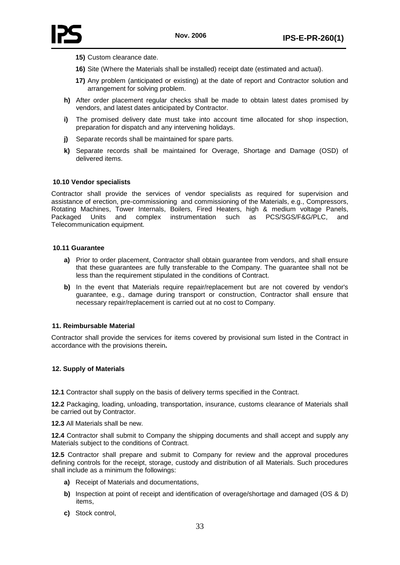- **15)** Custom clearance date.
- **16)** Site (Where the Materials shall be installed) receipt date (estimated and actual).
- **17)** Any problem (anticipated or existing) at the date of report and Contractor solution and arrangement for solving problem.
- **h)** After order placement regular checks shall be made to obtain latest dates promised by vendors, and latest dates anticipated by Contractor.
- **i)** The promised delivery date must take into account time allocated for shop inspection, preparation for dispatch and any intervening holidays.
- **j)** Separate records shall be maintained for spare parts.
- **k)** Separate records shall be maintained for Overage, Shortage and Damage (OSD) of delivered items.

### <span id="page-37-0"></span>**10.10 Vendor specialists**

Contractor shall provide the services of vendor specialists as required for supervision and assistance of erection, pre-commissioning and commissioning of the Materials, e.g., Compressors, Rotating Machines, Tower Internals, Boilers, Fired Heaters, high & medium voltage Panels, Packaged Units and complex instrumentation such as PCS/SGS/F&G/PLC, and Telecommunication equipment.

### <span id="page-37-1"></span>**10.11 Guarantee**

- **a)** Prior to order placement, Contractor shall obtain guarantee from vendors, and shall ensure that these guarantees are fully transferable to the Company. The guarantee shall not be less than the requirement stipulated in the conditions of Contract.
- **b)** In the event that Materials require repair/replacement but are not covered by vendor's guarantee, e.g., damage during transport or construction, Contractor shall ensure that necessary repair/replacement is carried out at no cost to Company.

# <span id="page-37-2"></span>**11. Reimbursable Material**

Contractor shall provide the services for items covered by provisional sum listed in the Contract in accordance with the provisions therein**.**

# <span id="page-37-3"></span>**12. Supply of Materials**

**12.1** Contractor shall supply on the basis of delivery terms specified in the Contract.

**12.2** Packaging, loading, unloading, transportation, insurance, customs clearance of Materials shall be carried out by Contractor.

**12.3** All Materials shall be new.

**12.4** Contractor shall submit to Company the shipping documents and shall accept and supply any Materials subject to the conditions of Contract.

**12.5** Contractor shall prepare and submit to Company for review and the approval procedures defining controls for the receipt, storage, custody and distribution of all Materials. Such procedures shall include as a minimum the followings:

- **a)** Receipt of Materials and documentations,
- **b)** Inspection at point of receipt and identification of overage/shortage and damaged (OS & D) items,
- **c)** Stock control,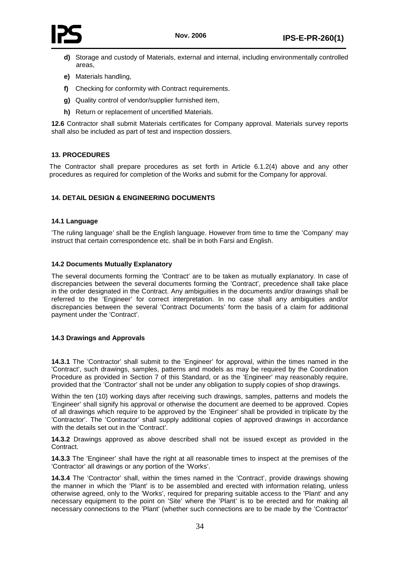- **d)** Storage and custody of Materials, external and internal, including environmentally controlled areas,
- **e)** Materials handling,
- **f)** Checking for conformity with Contract requirements.
- **g)** Quality control of vendor/supplier furnished item,
- **h)** Return or replacement of uncertified Materials.

**12.6** Contractor shall submit Materials certificates for Company approval. Materials survey reports shall also be included as part of test and inspection dossiers.

# <span id="page-38-0"></span>**13. PROCEDURES**

The Contractor shall prepare procedures as set forth in Article 6.1.2(4) above and any other procedures as required for completion of the Works and submit for the Company for approval.

# <span id="page-38-1"></span>**14. DETAIL DESIGN & ENGINEERING DOCUMENTS**

### <span id="page-38-2"></span>**14.1 Language**

'The ruling language' shall be the English language. However from time to time the 'Company' may instruct that certain correspondence etc. shall be in both Farsi and English.

### <span id="page-38-3"></span>**14.2 Documents Mutually Explanatory**

The several documents forming the 'Contract' are to be taken as mutually explanatory. In case of discrepancies between the several documents forming the 'Contract', precedence shall take place in the order designated in the Contract. Any ambiguities in the documents and/or drawings shall be referred to the 'Engineer' for correct interpretation. In no case shall any ambiguities and/or discrepancies between the several 'Contract Documents' form the basis of a claim for additional payment under the 'Contract'.

#### <span id="page-38-4"></span>**14.3 Drawings and Approvals**

**14.3.1** The 'Contractor' shall submit to the 'Engineer' for approval, within the times named in the 'Contract', such drawings, samples, patterns and models as may be required by the Coordination Procedure as provided in Section 7 of this Standard, or as the 'Engineer' may reasonably require, provided that the 'Contractor' shall not be under any obligation to supply copies of shop drawings.

Within the ten (10) working days after receiving such drawings, samples, patterns and models the 'Engineer' shall signify his approval or otherwise the document are deemed to be approved. Copies of all drawings which require to be approved by the 'Engineer' shall be provided in triplicate by the 'Contractor'. The 'Contractor' shall supply additional copies of approved drawings in accordance with the details set out in the 'Contract'.

**14.3.2** Drawings approved as above described shall not be issued except as provided in the Contract.

**14.3.3** The 'Engineer' shall have the right at all reasonable times to inspect at the premises of the 'Contractor' all drawings or any portion of the 'Works'.

**14.3.4** The 'Contractor' shall, within the times named in the 'Contract', provide drawings showing the manner in which the 'Plant' is to be assembled and erected with information relating, unless otherwise agreed, only to the 'Works', required for preparing suitable access to the 'Plant' and any necessary equipment to the point on 'Site' where the 'Plant' is to be erected and for making all necessary connections to the 'Plant' (whether such connections are to be made by the 'Contractor'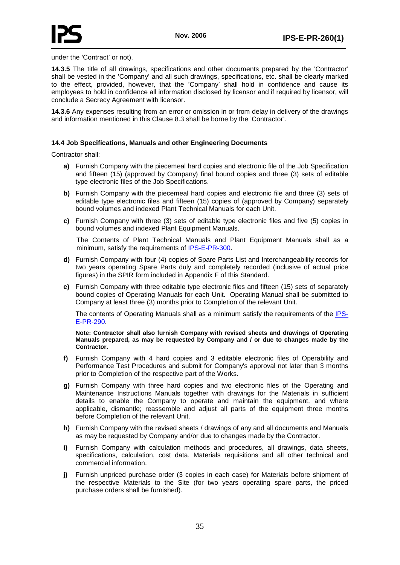

under the 'Contract' or not).

**14.3.5** The title of all drawings, specifications and other documents prepared by the 'Contractor' shall be vested in the 'Company' and all such drawings, specifications, etc. shall be clearly marked to the effect, provided, however, that the 'Company' shall hold in confidence and cause its employees to hold in confidence all information disclosed by licensor and if required by licensor, will conclude a Secrecy Agreement with licensor.

**14.3.6** Any expenses resulting from an error or omission in or from delay in delivery of the drawings and information mentioned in this Clause 8.3 shall be borne by the 'Contractor'.

### <span id="page-39-0"></span>**14.4 Job Specifications, Manuals and other Engineering Documents**

Contractor shall:

- **a)** Furnish Company with the piecemeal hard copies and electronic file of the Job Specification and fifteen (15) (approved by Company) final bound copies and three (3) sets of editable type electronic files of the Job Specifications.
- **b)** Furnish Company with the piecemeal hard copies and electronic file and three (3) sets of editable type electronic files and fifteen (15) copies of (approved by Company) separately bound volumes and indexed Plant Technical Manuals for each Unit.
- **c)** Furnish Company with three (3) sets of editable type electronic files and five (5) copies in bound volumes and indexed Plant Equipment Manuals.

The Contents of Plant Technical Manuals and Plant Equipment Manuals shall as a minimum, satisfy the requirements of IPS-E-PR-300.

- **d)** Furnish Company with four (4) copies of Spare Parts List and Interchangeability records for two years operating Spare Parts duly and completely recorded (inclusive of actual price figures) in the SPIR form included in Appendix F of this Standard.
- **e)** Furnish Company with three editable type electronic files and fifteen (15) sets of separately bound copies of Operating Manuals for each Unit. Operating Manual shall be submitted to Company at least three (3) months prior to Completion of the relevant Unit.

The contents of Operating Manuals shall as a minimum satisfy the requirements of the IPS-E-PR-290.

**Note: Contractor shall also furnish Company with revised sheets and drawings of Operating Manuals prepared, as may be requested by Company and / or due to changes made by the Contractor.**

- **f)** Furnish Company with 4 hard copies and 3 editable electronic files of Operability and Performance Test Procedures and submit for Company's approval not later than 3 months prior to Completion of the respective part of the Works.
- **g)** Furnish Company with three hard copies and two electronic files of the Operating and Maintenance Instructions Manuals together with drawings for the Materials in sufficient details to enable the Company to operate and maintain the equipment, and where applicable, dismantle; reassemble and adjust all parts of the equipment three months before Completion of the relevant Unit.
- **h)** Furnish Company with the revised sheets / drawings of any and all documents and Manuals as may be requested by Company and/or due to changes made by the Contractor.
- **i)** Furnish Company with calculation methods and procedures, all drawings, data sheets, specifications, calculation, cost data, Materials requisitions and all other technical and commercial information.
- **j)** Furnish unpriced purchase order (3 copies in each case) for Materials before shipment of the respective Materials to the Site (for two years operating spare parts, the priced purchase orders shall be furnished).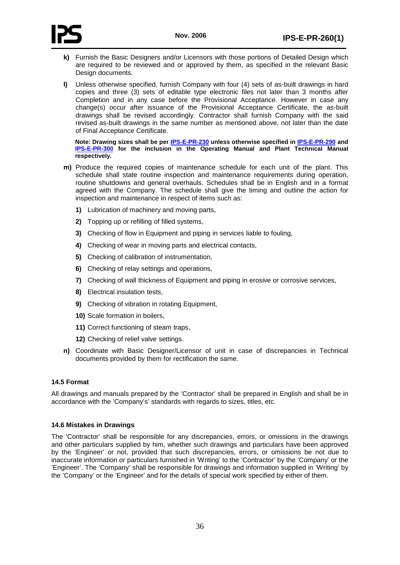



- **k)** Furnish the Basic Designers and/or Licensors with those portions of Detailed Design which are required to be reviewed and or approved by them, as specified in the relevant Basic Design documents.
- **l)** Unless otherwise specified, furnish Company with four (4) sets of as-built drawings in hard copies and three (3) sets of editable type electronic files not later than 3 months after Completion and in any case before the Provisional Acceptance. However in case any change(s) occur after issuance of the Provisional Acceptance Certificate, the as-built drawings shall be revised accordingly. Contractor shall furnish Company with the said revised as-built drawings in the same number as mentioned above, not later than the date of Final Acceptance Certificate.

**Note: Drawing sizes shall be per** *U***IPS-E-PR-230***<sup>U</sup>* **unless otherwise specified in** *U***IPS-E-PR-290***<sup>U</sup>* **and IPS-E-PR-300** for the inclusion in the Operating Manual and Plant Technical Manual **respectively.** 

- **m)** Produce the required copies of maintenance schedule for each unit of the plant. This schedule shall state routine inspection and maintenance requirements during operation, routine shutdowns and general overhauls. Schedules shall be in English and in a format agreed with the Company. The schedule shall give the timing and outline the action for inspection and maintenance in respect of items such as:
	- **1)** Lubrication of machinery and moving parts,
	- **2)** Topping up or refilling of filled systems,
	- **3)** Checking of flow in Equipment and piping in services liable to fouling,
	- **4)** Checking of wear in moving parts and electrical contacts,
	- **5)** Checking of calibration of instrumentation,
	- **6)** Checking of relay settings and operations,
	- **7)** Checking of wall thickness of Equipment and piping in erosive or corrosive services,
	- **8)** Electrical insulation tests,
	- **9)** Checking of vibration in rotating Equipment,
	- **10)** Scale formation in boilers,
	- **11)** Correct functioning of steam traps,
	- **12)** Checking of relief valve settings.
- **n)** Coordinate with Basic Designer/Licensor of unit in case of discrepancies in Technical documents provided by them for rectification the same.

#### <span id="page-40-0"></span>**14.5 Format**

All drawings and manuals prepared by the 'Contractor' shall be prepared in English and shall be in accordance with the 'Company's' standards with regards to sizes, titles, etc.

#### <span id="page-40-1"></span>**14.6 Mistakes in Drawings**

The 'Contractor' shall be responsible for any discrepancies, errors, or omissions in the drawings and other particulars supplied by him, whether such drawings and particulars have been approved by the 'Engineer' or not, provided that such discrepancies, errors, or omissions be not due to inaccurate information or particulars furnished in 'Writing' to the 'Contractor' by the 'Company' or the 'Engineer'. The 'Company' shall be responsible for drawings and information supplied in 'Writing' by the 'Company' or the 'Engineer' and for the details of special work specified by either of them.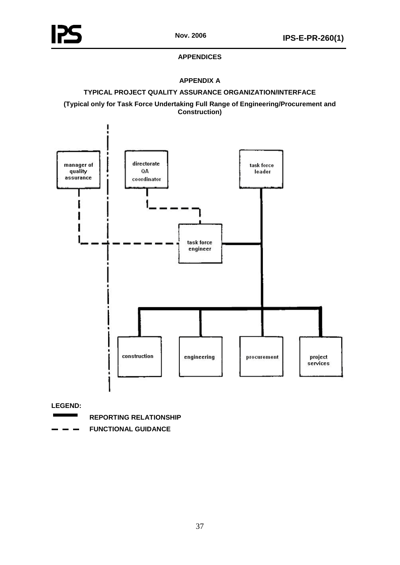# **APPENDICES**

# **APPENDIX A**

# <span id="page-41-0"></span>**TYPICAL PROJECT QUALITY ASSURANCE ORGANIZATION/INTERFACE**

<span id="page-41-1"></span>**(Typical only for Task Force Undertaking Full Range of Engineering/Procurement and Construction)**



**LEGEND:**

- $\overline{\phantom{a}}$ **REPORTING RELATIONSHIP**
- **FUNCTIONAL GUIDANCE**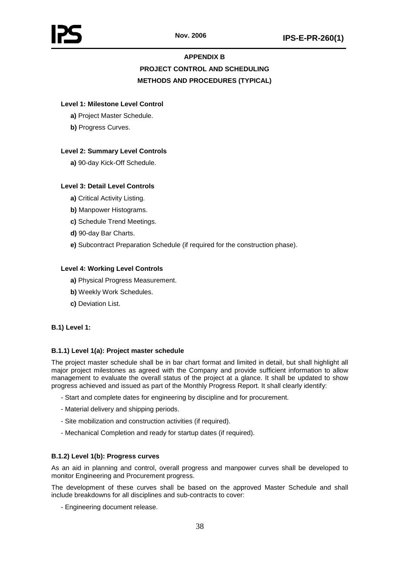# **APPENDIX B**

# **PROJECT CONTROL AND SCHEDULING METHODS AND PROCEDURES (TYPICAL)**

# <span id="page-42-0"></span>**Level 1: Milestone Level Control**

- **a)** Project Master Schedule.
- **b)** Progress Curves.

# **Level 2: Summary Level Controls**

**a)** 90-day Kick-Off Schedule.

# **Level 3: Detail Level Controls**

- **a)** Critical Activity Listing.
- **b)** Manpower Histograms.
- **c)** Schedule Trend Meetings.
- **d)** 90-day Bar Charts.
- **e)** Subcontract Preparation Schedule (if required for the construction phase).

# **Level 4: Working Level Controls**

- **a)** Physical Progress Measurement.
- **b)** Weekly Work Schedules.
- **c)** Deviation List.

# **B.1) Level 1:**

# **B.1.1) Level 1(a): Project master schedule**

The project master schedule shall be in bar chart format and limited in detail, but shall highlight all major project milestones as agreed with the Company and provide sufficient information to allow management to evaluate the overall status of the project at a glance. It shall be updated to show progress achieved and issued as part of the Monthly Progress Report. It shall clearly identify:

- Start and complete dates for engineering by discipline and for procurement.
- Material delivery and shipping periods.
- Site mobilization and construction activities (if required).
- Mechanical Completion and ready for startup dates (if required).

# **B.1.2) Level 1(b): Progress curves**

As an aid in planning and control, overall progress and manpower curves shall be developed to monitor Engineering and Procurement progress.

The development of these curves shall be based on the approved Master Schedule and shall include breakdowns for all disciplines and sub-contracts to cover:

- Engineering document release.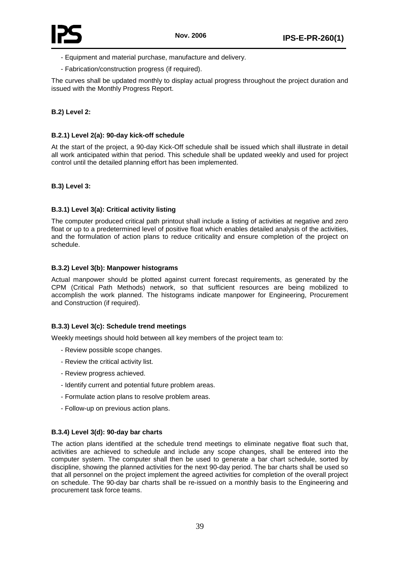

- Equipment and material purchase, manufacture and delivery.
- Fabrication/construction progress (if required).

The curves shall be updated monthly to display actual progress throughout the project duration and issued with the Monthly Progress Report.

# **B.2) Level 2:**

## **B.2.1) Level 2(a): 90-day kick-off schedule**

At the start of the project, a 90-day Kick-Off schedule shall be issued which shall illustrate in detail all work anticipated within that period. This schedule shall be updated weekly and used for project control until the detailed planning effort has been implemented.

# **B.3) Level 3:**

# **B.3.1) Level 3(a): Critical activity listing**

The computer produced critical path printout shall include a listing of activities at negative and zero float or up to a predetermined level of positive float which enables detailed analysis of the activities, and the formulation of action plans to reduce criticality and ensure completion of the project on schedule.

# **B.3.2) Level 3(b): Manpower histograms**

Actual manpower should be plotted against current forecast requirements, as generated by the CPM (Critical Path Methods) network, so that sufficient resources are being mobilized to accomplish the work planned. The histograms indicate manpower for Engineering, Procurement and Construction (if required).

# **B.3.3) Level 3(c): Schedule trend meetings**

Weekly meetings should hold between all key members of the project team to:

- Review possible scope changes.
- Review the critical activity list.
- Review progress achieved.
- Identify current and potential future problem areas.
- Formulate action plans to resolve problem areas.
- Follow-up on previous action plans.

# **B.3.4) Level 3(d): 90-day bar charts**

The action plans identified at the schedule trend meetings to eliminate negative float such that, activities are achieved to schedule and include any scope changes, shall be entered into the computer system. The computer shall then be used to generate a bar chart schedule, sorted by discipline, showing the planned activities for the next 90-day period. The bar charts shall be used so that all personnel on the project implement the agreed activities for completion of the overall project on schedule. The 90-day bar charts shall be re-issued on a monthly basis to the Engineering and procurement task force teams.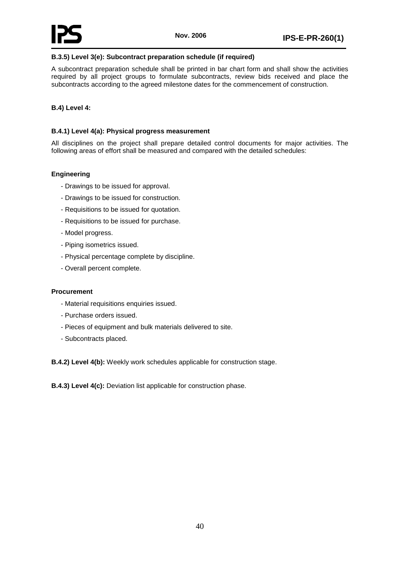# **B.3.5) Level 3(e): Subcontract preparation schedule (if required)**

A subcontract preparation schedule shall be printed in bar chart form and shall show the activities required by all project groups to formulate subcontracts, review bids received and place the subcontracts according to the agreed milestone dates for the commencement of construction.

# **B.4) Level 4:**

# **B.4.1) Level 4(a): Physical progress measurement**

All disciplines on the project shall prepare detailed control documents for major activities. The following areas of effort shall be measured and compared with the detailed schedules:

# **Engineering**

- Drawings to be issued for approval.
- Drawings to be issued for construction.
- Requisitions to be issued for quotation.
- Requisitions to be issued for purchase.
- Model progress.
- Piping isometrics issued.
- Physical percentage complete by discipline.
- Overall percent complete.

#### **Procurement**

- Material requisitions enquiries issued.
- Purchase orders issued.
- Pieces of equipment and bulk materials delivered to site.
- Subcontracts placed.

**B.4.2) Level 4(b):** Weekly work schedules applicable for construction stage.

**B.4.3) Level 4(c):** Deviation list applicable for construction phase.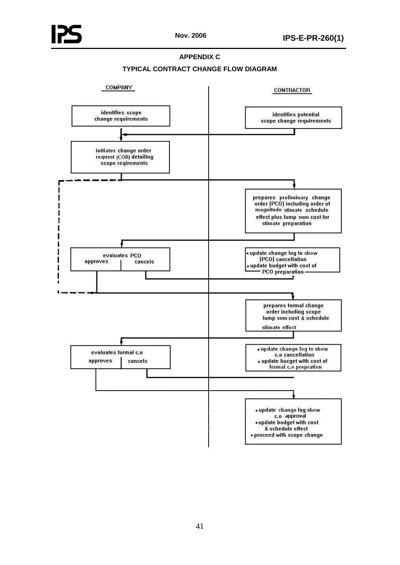# **APPENDIX C**



<span id="page-45-0"></span>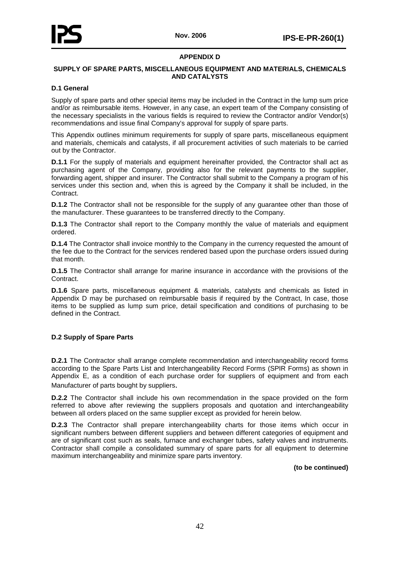# **APPENDIX D**

### <span id="page-46-0"></span>**SUPPLY OF SPARE PARTS, MISCELLANEOUS EQUIPMENT AND MATERIALS, CHEMICALS AND CATALYSTS**

#### **D.1 General**

Supply of spare parts and other special items may be included in the Contract in the lump sum price and/or as reimbursable items. However, in any case, an expert team of the Company consisting of the necessary specialists in the various fields is required to review the Contractor and/or Vendor(s) recommendations and issue final Company's approval for supply of spare parts.

This Appendix outlines minimum requirements for supply of spare parts, miscellaneous equipment and materials, chemicals and catalysts, if all procurement activities of such materials to be carried out by the Contractor.

**D.1.1** For the supply of materials and equipment hereinafter provided, the Contractor shall act as purchasing agent of the Company, providing also for the relevant payments to the supplier, forwarding agent, shipper and insurer. The Contractor shall submit to the Company a program of his services under this section and, when this is agreed by the Company it shall be included, in the Contract.

**D.1.2** The Contractor shall not be responsible for the supply of any quarantee other than those of the manufacturer. These guarantees to be transferred directly to the Company.

**D.1.3** The Contractor shall report to the Company monthly the value of materials and equipment ordered.

**D.1.4** The Contractor shall invoice monthly to the Company in the currency requested the amount of the fee due to the Contract for the services rendered based upon the purchase orders issued during that month.

**D.1.5** The Contractor shall arrange for marine insurance in accordance with the provisions of the Contract.

**D.1.6** Spare parts, miscellaneous equipment & materials, catalysts and chemicals as listed in Appendix D may be purchased on reimbursable basis if required by the Contract, In case, those items to be supplied as lump sum price, detail specification and conditions of purchasing to be defined in the Contract.

# **D.2 Supply of Spare Parts**

**D.2.1** The Contractor shall arrange complete recommendation and interchangeability record forms according to the Spare Parts List and Interchangeability Record Forms (SPIR Forms) as shown in Appendix E, as a condition of each purchase order for suppliers of equipment and from each Manufacturer of parts bought by suppliers.

**D.2.2** The Contractor shall include his own recommendation in the space provided on the form referred to above after reviewing the suppliers proposals and quotation and interchangeability between all orders placed on the same supplier except as provided for herein below.

**D.2.3** The Contractor shall prepare interchangeability charts for those items which occur in significant numbers between different suppliers and between different categories of equipment and are of significant cost such as seals, furnace and exchanger tubes, safety valves and instruments. Contractor shall compile a consolidated summary of spare parts for all equipment to determine maximum interchangeability and minimize spare parts inventory.

**(to be continued)**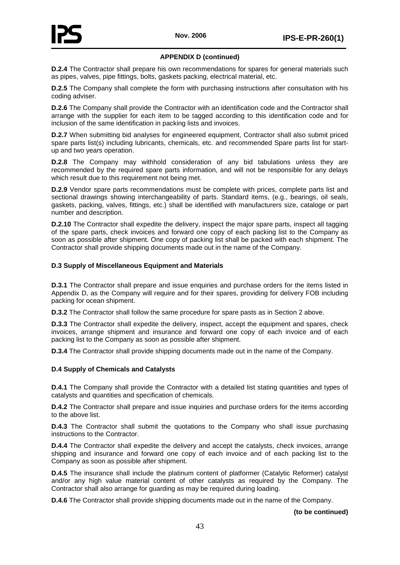# **APPENDIX D (continued)**

**D.2.4** The Contractor shall prepare his own recommendations for spares for general materials such as pipes, valves, pipe fittings, bolts, gaskets packing, electrical material, etc.

**D.2.5** The Company shall complete the form with purchasing instructions after consultation with his coding adviser.

**D.2.6** The Company shall provide the Contractor with an identification code and the Contractor shall arrange with the supplier for each item to be tagged according to this identification code and for inclusion of the same identification in packing lists and invoices.

**D.2.7** When submitting bid analyses for engineered equipment, Contractor shall also submit priced spare parts list(s) including lubricants, chemicals, etc. and recommended Spare parts list for startup and two years operation.

**D.2.8** The Company may withhold consideration of any bid tabulations unless they are recommended by the required spare parts information, and will not be responsible for any delays which result due to this requirement not being met.

**D.2.9** Vendor spare parts recommendations must be complete with prices, complete parts list and sectional drawings showing interchangeability of parts. Standard items, (e.g., bearings, oil seals, gaskets, packing, valves, fittings, etc.) shall be identified with manufacturers size, cataloge or part number and description.

**D.2.10** The Contractor shall expedite the delivery, inspect the major spare parts, inspect all tagging of the spare parts, check invoices and forward one copy of each packing list to the Company as soon as possible after shipment. One copy of packing list shall be packed with each shipment. The Contractor shall provide shipping documents made out in the name of the Company.

# **D.3 Supply of Miscellaneous Equipment and Materials**

**D.3.1** The Contractor shall prepare and issue enquiries and purchase orders for the items listed in Appendix D, as the Company will require and for their spares, providing for delivery FOB including packing for ocean shipment.

**D.3.2** The Contractor shall follow the same procedure for spare pasts as in Section 2 above.

**D.3.3** The Contractor shall expedite the delivery, inspect, accept the equipment and spares, check invoices, arrange shipment and insurance and forward one copy of each invoice and of each packing list to the Company as soon as possible after shipment.

**D.3.4** The Contractor shall provide shipping documents made out in the name of the Company.

# **D.4 Supply of Chemicals and Catalysts**

**D.4.1** The Company shall provide the Contractor with a detailed list stating quantities and types of catalysts and quantities and specification of chemicals.

**D.4.2** The Contractor shall prepare and issue inquiries and purchase orders for the items according to the above list.

**D.4.3** The Contractor shall submit the quotations to the Company who shall issue purchasing instructions to the Contractor.

**D.4.4** The Contractor shall expedite the delivery and accept the catalysts, check invoices, arrange shipping and insurance and forward one copy of each invoice and of each packing list to the Company as soon as possible after shipment.

**D.4.5** The insurance shall include the platinum content of platformer (Catalytic Reformer) catalyst and/or any high value material content of other catalysts as required by the Company. The Contractor shall also arrange for guarding as may be required during loading.

**D.4.6** The Contractor shall provide shipping documents made out in the name of the Company.

**(to be continued)**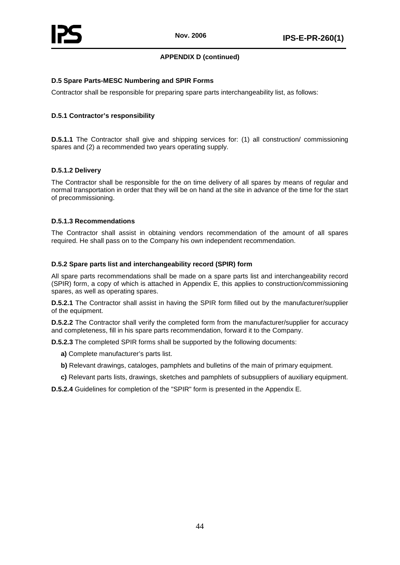# **APPENDIX D (continued)**

# **D.5 Spare Parts-MESC Numbering and SPIR Forms**

Contractor shall be responsible for preparing spare parts interchangeability list, as follows:

# **D.5.1 Contractor's responsibility**

**D.5.1.1** The Contractor shall give and shipping services for: (1) all construction/ commissioning spares and (2) a recommended two years operating supply.

# **D.5.1.2 Delivery**

The Contractor shall be responsible for the on time delivery of all spares by means of regular and normal transportation in order that they will be on hand at the site in advance of the time for the start of precommissioning.

# **D.5.1.3 Recommendations**

The Contractor shall assist in obtaining vendors recommendation of the amount of all spares required. He shall pass on to the Company his own independent recommendation.

# **D.5.2 Spare parts list and interchangeability record (SPIR) form**

All spare parts recommendations shall be made on a spare parts list and interchangeability record (SPIR) form, a copy of which is attached in Appendix E, this applies to construction/commissioning spares, as well as operating spares.

**D.5.2.1** The Contractor shall assist in having the SPIR form filled out by the manufacturer/supplier of the equipment.

**D.5.2.2** The Contractor shall verify the completed form from the manufacturer/supplier for accuracy and completeness, fill in his spare parts recommendation, forward it to the Company.

**D.5.2.3** The completed SPIR forms shall be supported by the following documents:

- **a)** Complete manufacturer's parts list.
- **b)** Relevant drawings, cataloges, pamphlets and bulletins of the main of primary equipment.
- **c)** Relevant parts lists, drawings, sketches and pamphlets of subsuppliers of auxiliary equipment.

**D.5.2.4** Guidelines for completion of the "SPIR" form is presented in the Appendix E.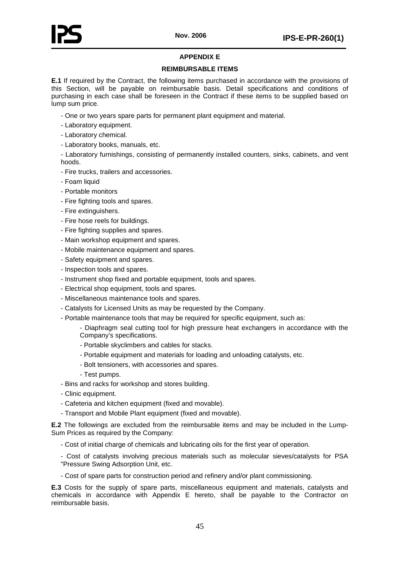

# **APPENDIX E**

# **REIMBURSABLE ITEMS**

<span id="page-49-0"></span>**E.1** If required by the Contract, the following items purchased in accordance with the provisions of this Section, will be payable on reimbursable basis. Detail specifications and conditions of purchasing in each case shall be foreseen in the Contract if these items to be supplied based on lump sum price.

- One or two years spare parts for permanent plant equipment and material.
- Laboratory equipment.
- Laboratory chemical.
- Laboratory books, manuals, etc.

- Laboratory furnishings, consisting of permanently installed counters, sinks, cabinets, and vent hoods.

- Fire trucks, trailers and accessories.
- Foam liquid
- Portable monitors
- Fire fighting tools and spares.
- Fire extinguishers.
- Fire hose reels for buildings.
- Fire fighting supplies and spares.
- Main workshop equipment and spares.
- Mobile maintenance equipment and spares.
- Safety equipment and spares.
- Inspection tools and spares.
- Instrument shop fixed and portable equipment, tools and spares.
- Electrical shop equipment, tools and spares.
- Miscellaneous maintenance tools and spares.
- Catalysts for Licensed Units as may be requested by the Company.
- Portable maintenance tools that may be required for specific equipment, such as:

- Diaphragm seal cutting tool for high pressure heat exchangers in accordance with the Company's specifications.

- Portable skyclimbers and cables for stacks.
- Portable equipment and materials for loading and unloading catalysts, etc.
- Bolt tensioners, with accessories and spares.
- Test pumps.
- Bins and racks for workshop and stores building.
- Clinic equipment.
- Cafeteria and kitchen equipment (fixed and movable).
- Transport and Mobile Plant equipment (fixed and movable).

**E.2** The followings are excluded from the reimbursable items and may be included in the Lump-Sum Prices as required by the Company:

- Cost of initial charge of chemicals and lubricating oils for the first year of operation.
- Cost of catalysts involving precious materials such as molecular sieves/catalysts for PSA "Pressure Swing Adsorption Unit, etc.
- Cost of spare parts for construction period and refinery and/or plant commissioning.

**E.3** Costs for the supply of spare parts, miscellaneous equipment and materials, catalysts and chemicals in accordance with Appendix E hereto, shall be payable to the Contractor on reimbursable basis.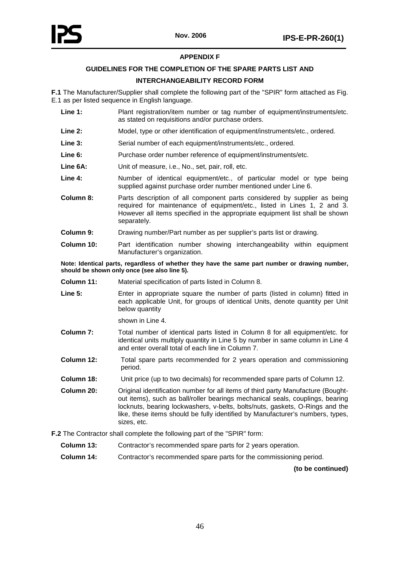# **APPENDIX F**

# **GUIDELINES FOR THE COMPLETION OF THE SPARE PARTS LIST AND**

# **INTERCHANGEABILITY RECORD FORM**

<span id="page-50-1"></span><span id="page-50-0"></span>**F.1** The Manufacturer/Supplier shall complete the following part of the "SPIR" form attached as Fig. E.1 as per listed sequence in English language.

- Line 1: Plant registration/item number or tag number of equipment/instruments/etc. as stated on requisitions and/or purchase orders.
- **Line 2:** Model, type or other identification of equipment/instruments/etc., ordered.
- Line 3: Serial number of each equipment/instruments/etc., ordered.
- Line 6: Purchase order number reference of equipment/instruments/etc.
- **Line 6A:** Unit of measure, i.e., No., set, pair, roll, etc.
- **Line 4:** Number of identical equipment/etc., of particular model or type being supplied against purchase order number mentioned under Line 6.
- **Column 8:** Parts description of all component parts considered by supplier as being required for maintenance of equipment/etc., listed in Lines 1, 2 and 3. However all items specified in the appropriate equipment list shall be shown separately.
- **Column 9:** Drawing number/Part number as per supplier's parts list or drawing.
- **Column 10:** Part identification number showing interchangeability within equipment Manufacturer's organization.

**Note: Identical parts, regardless of whether they have the same part number or drawing number, should be shown only once (see also line 5).**

- **Column 11:** Material specification of parts listed in Column 8.
- Line 5: Enter in appropriate square the number of parts (listed in column) fitted in each applicable Unit, for groups of identical Units, denote quantity per Unit below quantity

shown in Line 4.

- **Column 7:** Total number of identical parts listed in Column 8 for all equipment/etc. for identical units multiply quantity in Line 5 by number in same column in Line 4 and enter overall total of each line in Column 7.
- **Column 12:** Total spare parts recommended for 2 years operation and commissioning period.
- **Column 18:** Unit price (up to two decimals) for recommended spare parts of Column 12.
- **Column 20:** Original identification number for all items of third party Manufacture (Boughtout items), such as ball/roller bearings mechanical seals, couplings, bearing locknuts, bearing lockwashers, v-belts, bolts/nuts, gaskets, O-Rings and the like, these items should be fully identified by Manufacturer's numbers, types, sizes, etc.

**F.2** The Contractor shall complete the following part of the "SPIR" form:

- **Column 13:** Contractor's recommended spare parts for 2 years operation.
- **Column 14:** Contractor's recommended spare parts for the commissioning period.

**(to be continued)**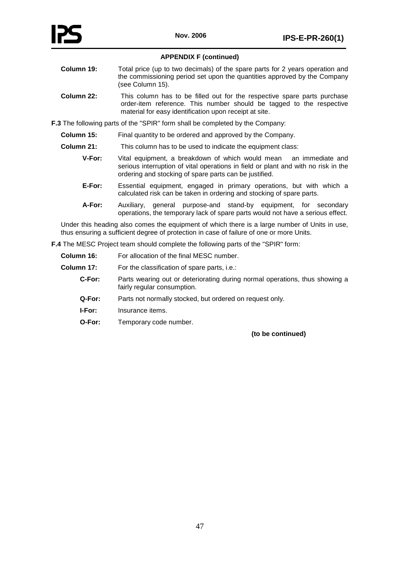# **APPENDIX F (continued)**

- **Column 19:** Total price (up to two decimals) of the spare parts for 2 years operation and the commissioning period set upon the quantities approved by the Company (see Column 15).
- **Column 22:** This column has to be filled out for the respective spare parts purchase order-item reference. This number should be tagged to the respective material for easy identification upon receipt at site.

**F.3** The following parts of the "SPIR" form shall be completed by the Company:

- **Column 15:** Final quantity to be ordered and approved by the Company.
- **Column 21:** This column has to be used to indicate the equipment class:
	- **V-For:** Vital equipment, a breakdown of which would mean an immediate and serious interruption of vital operations in field or plant and with no risk in the ordering and stocking of spare parts can be justified.
	- **E-For:** Essential equipment, engaged in primary operations, but with which a calculated risk can be taken in ordering and stocking of spare parts.
	- **A-For:** Auxiliary, general purpose-and stand-by equipment, for secondary operations, the temporary lack of spare parts would not have a serious effect.

Under this heading also comes the equipment of which there is a large number of Units in use, thus ensuring a sufficient degree of protection in case of failure of one or more Units.

**F.4** The MESC Project team should complete the following parts of the "SPIR" form:

| Column 16: | For allocation of the final MESC number.                                                                   |
|------------|------------------------------------------------------------------------------------------------------------|
| Column 17: | For the classification of spare parts, i.e.:                                                               |
| C-For:     | Parts wearing out or deteriorating during normal operations, thus showing a<br>fairly regular consumption. |
| Q-For:     | Parts not normally stocked, but ordered on request only.                                                   |
| I-For:     | Insurance items.                                                                                           |
| O-For:     | Temporary code number.                                                                                     |

**(to be continued)**